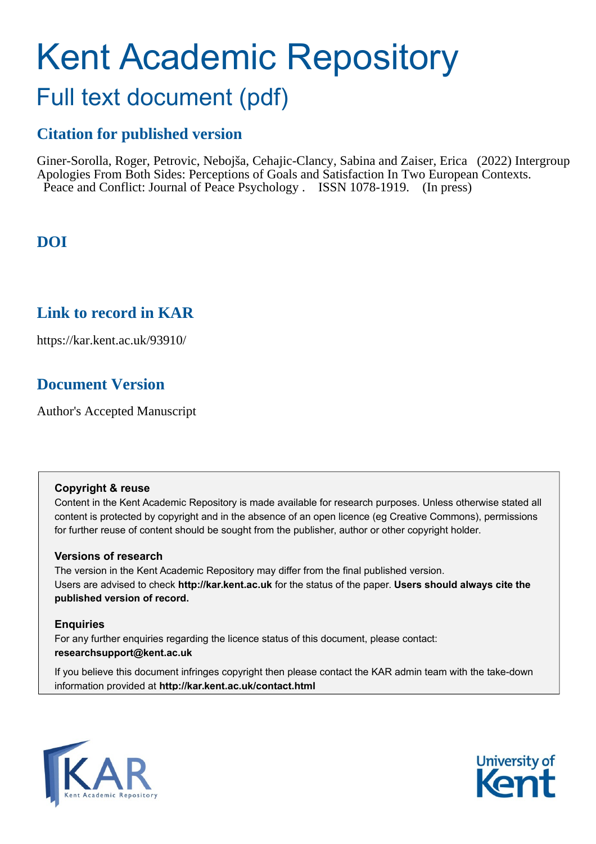# Kent Academic Repository

## Full text document (pdf)

## **Citation for published version**

Giner-Sorolla, Roger, Petrovic, Nebojša, Cehajic-Clancy, Sabina and Zaiser, Erica (2022) Intergroup Apologies From Both Sides: Perceptions of Goals and Satisfaction In Two European Contexts. Peace and Conflict: Journal of Peace Psychology . ISSN 1078-1919. (In press)

## **DOI**

## **Link to record in KAR**

https://kar.kent.ac.uk/93910/

## **Document Version**

Author's Accepted Manuscript

#### **Copyright & reuse**

Content in the Kent Academic Repository is made available for research purposes. Unless otherwise stated all content is protected by copyright and in the absence of an open licence (eg Creative Commons), permissions for further reuse of content should be sought from the publisher, author or other copyright holder.

#### **Versions of research**

The version in the Kent Academic Repository may differ from the final published version. Users are advised to check **http://kar.kent.ac.uk** for the status of the paper. **Users should always cite the published version of record.**

#### **Enquiries**

For any further enquiries regarding the licence status of this document, please contact: **researchsupport@kent.ac.uk**

If you believe this document infringes copyright then please contact the KAR admin team with the take-down information provided at **http://kar.kent.ac.uk/contact.html**



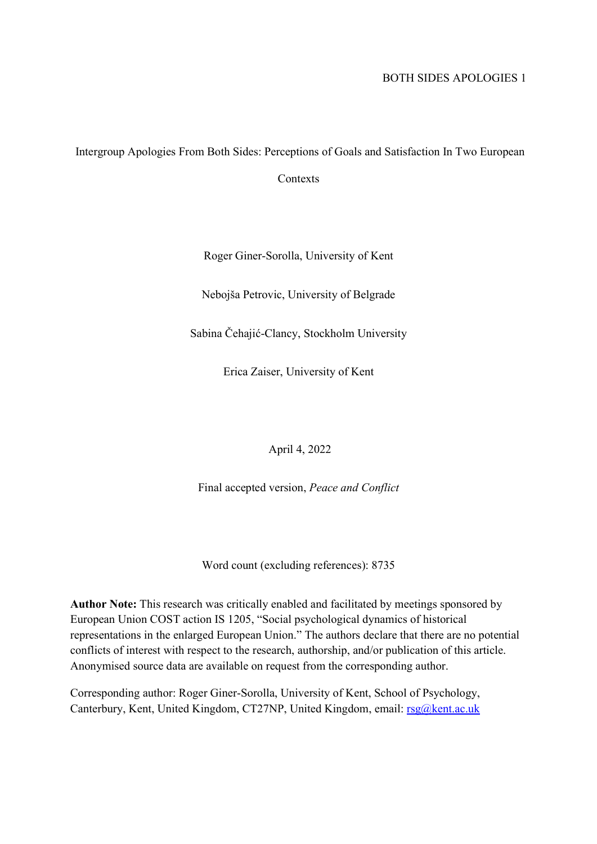## Intergroup Apologies From Both Sides: Perceptions of Goals and Satisfaction In Two European

Contexts

Roger Giner-Sorolla, University of Kent

Nebojša Petrovic, University of Belgrade

Sabina Čehajić-Clancy, Stockholm University

Erica Zaiser, University of Kent

April 4, 2022

Final accepted version, Peace and Conflict

Word count (excluding references): 8735

Author Note: This research was critically enabled and facilitated by meetings sponsored by European Union COST action IS 1205, "Social psychological dynamics of historical representations in the enlarged European Union." The authors declare that there are no potential conflicts of interest with respect to the research, authorship, and/or publication of this article. Anonymised source data are available on request from the corresponding author.

Corresponding author: Roger Giner-Sorolla, University of Kent, School of Psychology, Canterbury, Kent, United Kingdom, CT27NP, United Kingdom, email: rsg@kent.ac.uk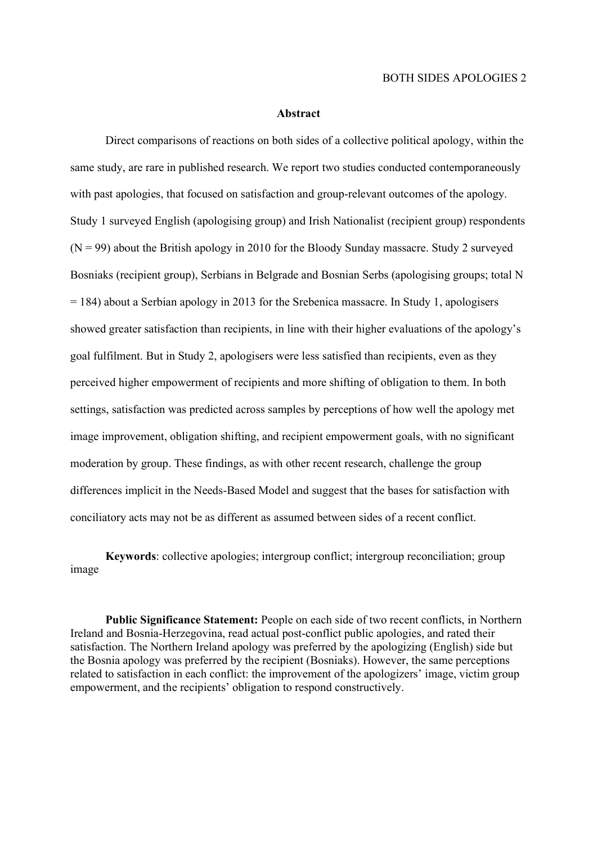#### Abstract

Direct comparisons of reactions on both sides of a collective political apology, within the same study, are rare in published research. We report two studies conducted contemporaneously with past apologies, that focused on satisfaction and group-relevant outcomes of the apology. Study 1 surveyed English (apologising group) and Irish Nationalist (recipient group) respondents  $(N = 99)$  about the British apology in 2010 for the Bloody Sunday massacre. Study 2 surveyed Bosniaks (recipient group), Serbians in Belgrade and Bosnian Serbs (apologising groups; total N  $= 184$ ) about a Serbian apology in 2013 for the Srebenica massacre. In Study 1, apologisers showed greater satisfaction than recipients, in line with their higher evaluations of the apology's goal fulfilment. But in Study 2, apologisers were less satisfied than recipients, even as they perceived higher empowerment of recipients and more shifting of obligation to them. In both settings, satisfaction was predicted across samples by perceptions of how well the apology met image improvement, obligation shifting, and recipient empowerment goals, with no significant moderation by group. These findings, as with other recent research, challenge the group differences implicit in the Needs-Based Model and suggest that the bases for satisfaction with conciliatory acts may not be as different as assumed between sides of a recent conflict.

Keywords: collective apologies; intergroup conflict; intergroup reconciliation; group image

Public Significance Statement: People on each side of two recent conflicts, in Northern Ireland and Bosnia-Herzegovina, read actual post-conflict public apologies, and rated their satisfaction. The Northern Ireland apology was preferred by the apologizing (English) side but the Bosnia apology was preferred by the recipient (Bosniaks). However, the same perceptions related to satisfaction in each conflict: the improvement of the apologizers' image, victim group empowerment, and the recipients' obligation to respond constructively.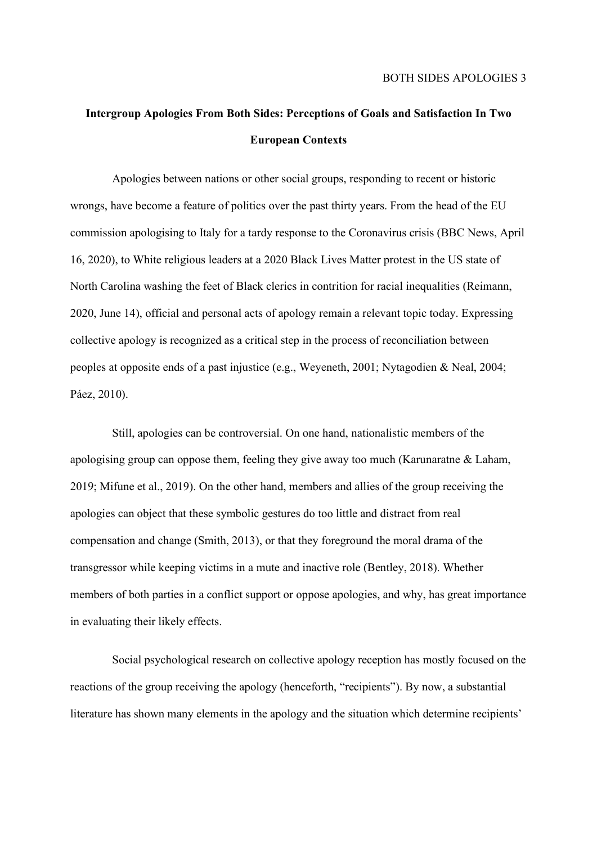## Intergroup Apologies From Both Sides: Perceptions of Goals and Satisfaction In Two European Contexts

Apologies between nations or other social groups, responding to recent or historic wrongs, have become a feature of politics over the past thirty years. From the head of the EU commission apologising to Italy for a tardy response to the Coronavirus crisis (BBC News, April 16, 2020), to White religious leaders at a 2020 Black Lives Matter protest in the US state of North Carolina washing the feet of Black clerics in contrition for racial inequalities (Reimann, 2020, June 14), official and personal acts of apology remain a relevant topic today. Expressing collective apology is recognized as a critical step in the process of reconciliation between peoples at opposite ends of a past injustice (e.g., Weyeneth, 2001; Nytagodien & Neal, 2004; Páez, 2010).

Still, apologies can be controversial. On one hand, nationalistic members of the apologising group can oppose them, feeling they give away too much (Karunaratne & Laham, 2019; Mifune et al., 2019). On the other hand, members and allies of the group receiving the apologies can object that these symbolic gestures do too little and distract from real compensation and change (Smith, 2013), or that they foreground the moral drama of the transgressor while keeping victims in a mute and inactive role (Bentley, 2018). Whether members of both parties in a conflict support or oppose apologies, and why, has great importance in evaluating their likely effects.

Social psychological research on collective apology reception has mostly focused on the reactions of the group receiving the apology (henceforth, "recipients"). By now, a substantial literature has shown many elements in the apology and the situation which determine recipients'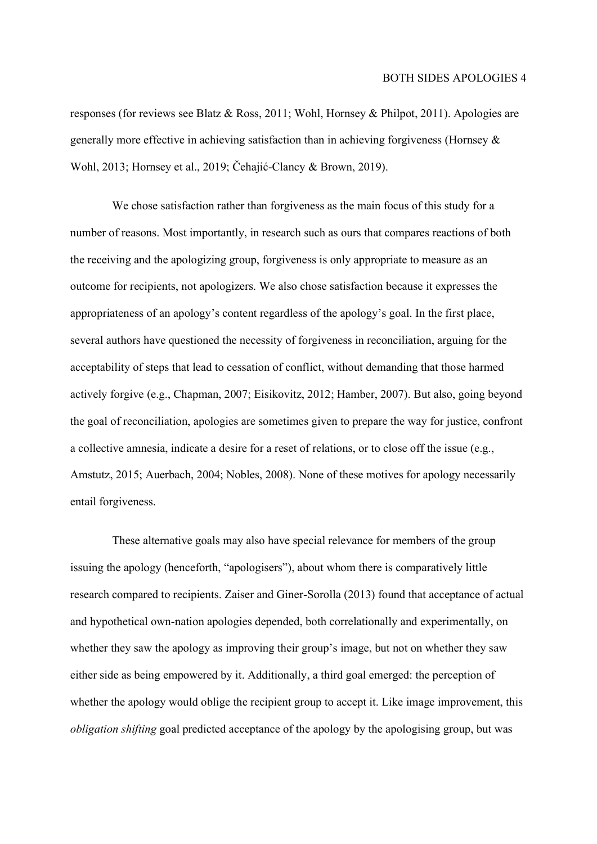responses (for reviews see Blatz & Ross, 2011; Wohl, Hornsey & Philpot, 2011). Apologies are generally more effective in achieving satisfaction than in achieving forgiveness (Hornsey & Wohl, 2013; Hornsey et al., 2019; Čehajić-Clancy & Brown, 2019).

We chose satisfaction rather than forgiveness as the main focus of this study for a number of reasons. Most importantly, in research such as ours that compares reactions of both the receiving and the apologizing group, forgiveness is only appropriate to measure as an outcome for recipients, not apologizers. We also chose satisfaction because it expresses the appropriateness of an apology's content regardless of the apology's goal. In the first place, several authors have questioned the necessity of forgiveness in reconciliation, arguing for the acceptability of steps that lead to cessation of conflict, without demanding that those harmed actively forgive (e.g., Chapman, 2007; Eisikovitz, 2012; Hamber, 2007). But also, going beyond the goal of reconciliation, apologies are sometimes given to prepare the way for justice, confront a collective amnesia, indicate a desire for a reset of relations, or to close off the issue (e.g., Amstutz, 2015; Auerbach, 2004; Nobles, 2008). None of these motives for apology necessarily entail forgiveness.

These alternative goals may also have special relevance for members of the group issuing the apology (henceforth, "apologisers"), about whom there is comparatively little research compared to recipients. Zaiser and Giner-Sorolla (2013) found that acceptance of actual and hypothetical own-nation apologies depended, both correlationally and experimentally, on whether they saw the apology as improving their group's image, but not on whether they saw either side as being empowered by it. Additionally, a third goal emerged: the perception of whether the apology would oblige the recipient group to accept it. Like image improvement, this obligation shifting goal predicted acceptance of the apology by the apologising group, but was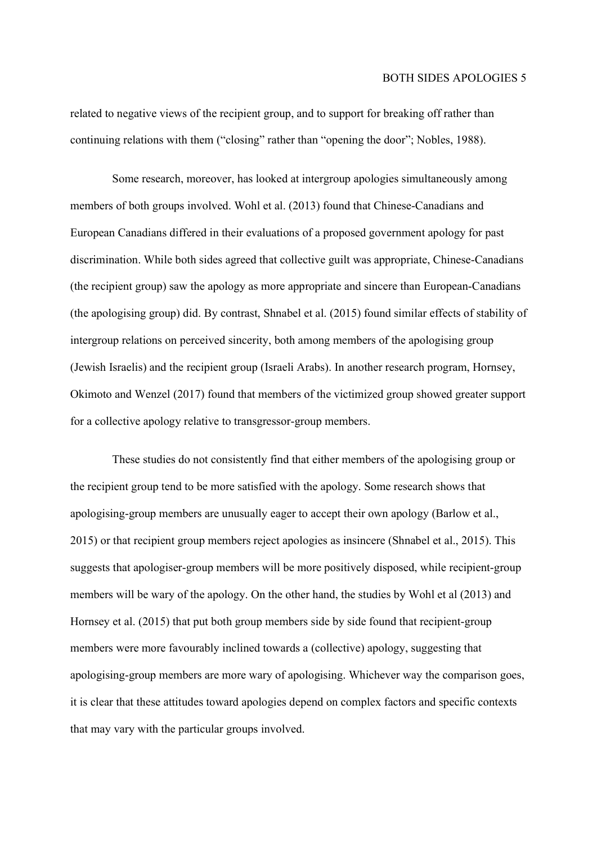related to negative views of the recipient group, and to support for breaking off rather than continuing relations with them ("closing" rather than "opening the door"; Nobles, 1988).

Some research, moreover, has looked at intergroup apologies simultaneously among members of both groups involved. Wohl et al. (2013) found that Chinese-Canadians and European Canadians differed in their evaluations of a proposed government apology for past discrimination. While both sides agreed that collective guilt was appropriate, Chinese-Canadians (the recipient group) saw the apology as more appropriate and sincere than European-Canadians (the apologising group) did. By contrast, Shnabel et al. (2015) found similar effects of stability of intergroup relations on perceived sincerity, both among members of the apologising group (Jewish Israelis) and the recipient group (Israeli Arabs). In another research program, Hornsey, Okimoto and Wenzel (2017) found that members of the victimized group showed greater support for a collective apology relative to transgressor-group members.

These studies do not consistently find that either members of the apologising group or the recipient group tend to be more satisfied with the apology. Some research shows that apologising-group members are unusually eager to accept their own apology (Barlow et al., 2015) or that recipient group members reject apologies as insincere (Shnabel et al., 2015). This suggests that apologiser-group members will be more positively disposed, while recipient-group members will be wary of the apology. On the other hand, the studies by Wohl et al (2013) and Hornsey et al. (2015) that put both group members side by side found that recipient-group members were more favourably inclined towards a (collective) apology, suggesting that apologising-group members are more wary of apologising. Whichever way the comparison goes, it is clear that these attitudes toward apologies depend on complex factors and specific contexts that may vary with the particular groups involved.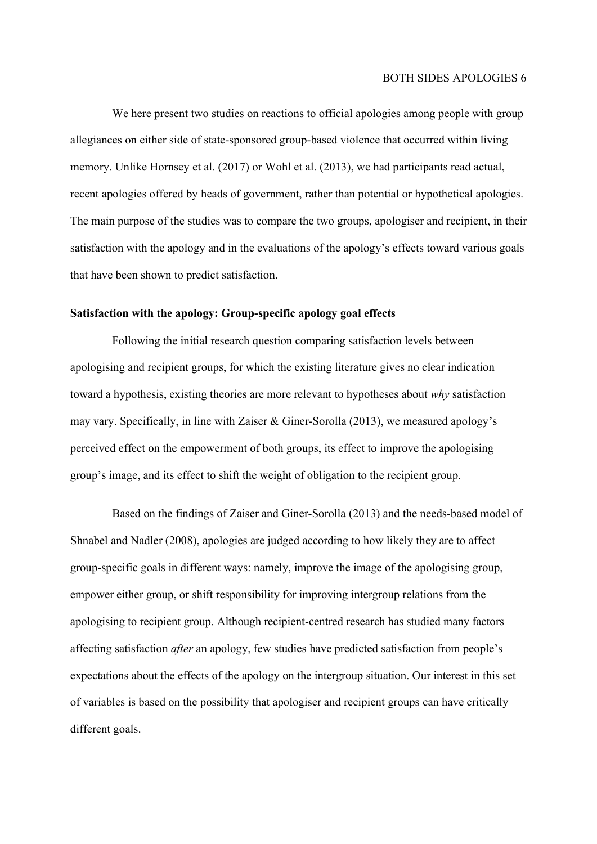We here present two studies on reactions to official apologies among people with group allegiances on either side of state-sponsored group-based violence that occurred within living memory. Unlike Hornsey et al. (2017) or Wohl et al. (2013), we had participants read actual, recent apologies offered by heads of government, rather than potential or hypothetical apologies. The main purpose of the studies was to compare the two groups, apologiser and recipient, in their satisfaction with the apology and in the evaluations of the apology's effects toward various goals that have been shown to predict satisfaction.

#### Satisfaction with the apology: Group-specific apology goal effects

Following the initial research question comparing satisfaction levels between apologising and recipient groups, for which the existing literature gives no clear indication toward a hypothesis, existing theories are more relevant to hypotheses about why satisfaction may vary. Specifically, in line with Zaiser & Giner-Sorolla (2013), we measured apology's perceived effect on the empowerment of both groups, its effect to improve the apologising group's image, and its effect to shift the weight of obligation to the recipient group.

Based on the findings of Zaiser and Giner-Sorolla (2013) and the needs-based model of Shnabel and Nadler (2008), apologies are judged according to how likely they are to affect group-specific goals in different ways: namely, improve the image of the apologising group, empower either group, or shift responsibility for improving intergroup relations from the apologising to recipient group. Although recipient-centred research has studied many factors affecting satisfaction after an apology, few studies have predicted satisfaction from people's expectations about the effects of the apology on the intergroup situation. Our interest in this set of variables is based on the possibility that apologiser and recipient groups can have critically different goals.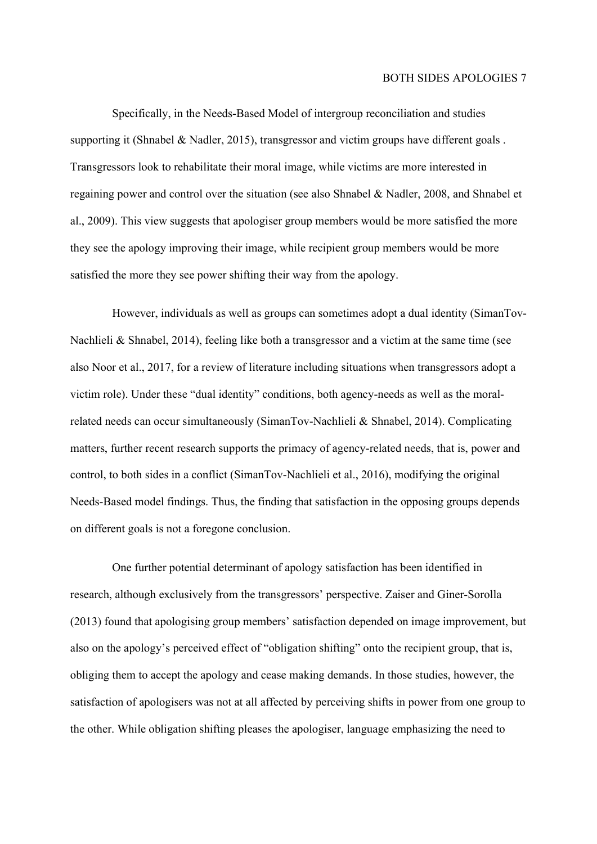Specifically, in the Needs-Based Model of intergroup reconciliation and studies supporting it (Shnabel & Nadler, 2015), transgressor and victim groups have different goals. Transgressors look to rehabilitate their moral image, while victims are more interested in regaining power and control over the situation (see also Shnabel & Nadler, 2008, and Shnabel et al., 2009). This view suggests that apologiser group members would be more satisfied the more they see the apology improving their image, while recipient group members would be more satisfied the more they see power shifting their way from the apology.

However, individuals as well as groups can sometimes adopt a dual identity (SimanTov-Nachlieli & Shnabel, 2014), feeling like both a transgressor and a victim at the same time (see also Noor et al., 2017, for a review of literature including situations when transgressors adopt a victim role). Under these "dual identity" conditions, both agency-needs as well as the moralrelated needs can occur simultaneously (SimanTov-Nachlieli & Shnabel, 2014). Complicating matters, further recent research supports the primacy of agency-related needs, that is, power and control, to both sides in a conflict (SimanTov-Nachlieli et al., 2016), modifying the original Needs-Based model findings. Thus, the finding that satisfaction in the opposing groups depends on different goals is not a foregone conclusion.

One further potential determinant of apology satisfaction has been identified in research, although exclusively from the transgressors' perspective. Zaiser and Giner-Sorolla (2013) found that apologising group members' satisfaction depended on image improvement, but also on the apology's perceived effect of "obligation shifting" onto the recipient group, that is, obliging them to accept the apology and cease making demands. In those studies, however, the satisfaction of apologisers was not at all affected by perceiving shifts in power from one group to the other. While obligation shifting pleases the apologiser, language emphasizing the need to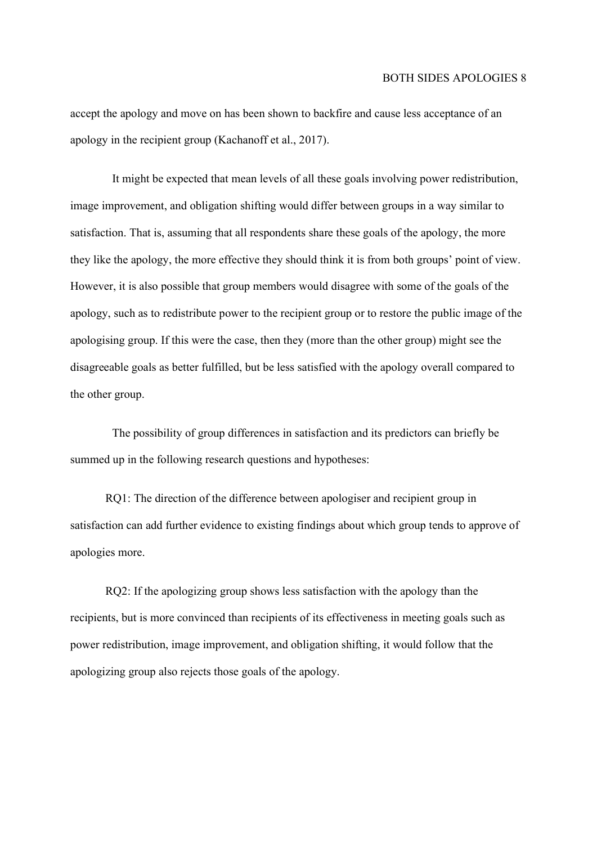accept the apology and move on has been shown to backfire and cause less acceptance of an apology in the recipient group (Kachanoff et al., 2017).

It might be expected that mean levels of all these goals involving power redistribution, image improvement, and obligation shifting would differ between groups in a way similar to satisfaction. That is, assuming that all respondents share these goals of the apology, the more they like the apology, the more effective they should think it is from both groups' point of view. However, it is also possible that group members would disagree with some of the goals of the apology, such as to redistribute power to the recipient group or to restore the public image of the apologising group. If this were the case, then they (more than the other group) might see the disagreeable goals as better fulfilled, but be less satisfied with the apology overall compared to the other group.

The possibility of group differences in satisfaction and its predictors can briefly be summed up in the following research questions and hypotheses:

RQ1: The direction of the difference between apologiser and recipient group in satisfaction can add further evidence to existing findings about which group tends to approve of apologies more.

RQ2: If the apologizing group shows less satisfaction with the apology than the recipients, but is more convinced than recipients of its effectiveness in meeting goals such as power redistribution, image improvement, and obligation shifting, it would follow that the apologizing group also rejects those goals of the apology.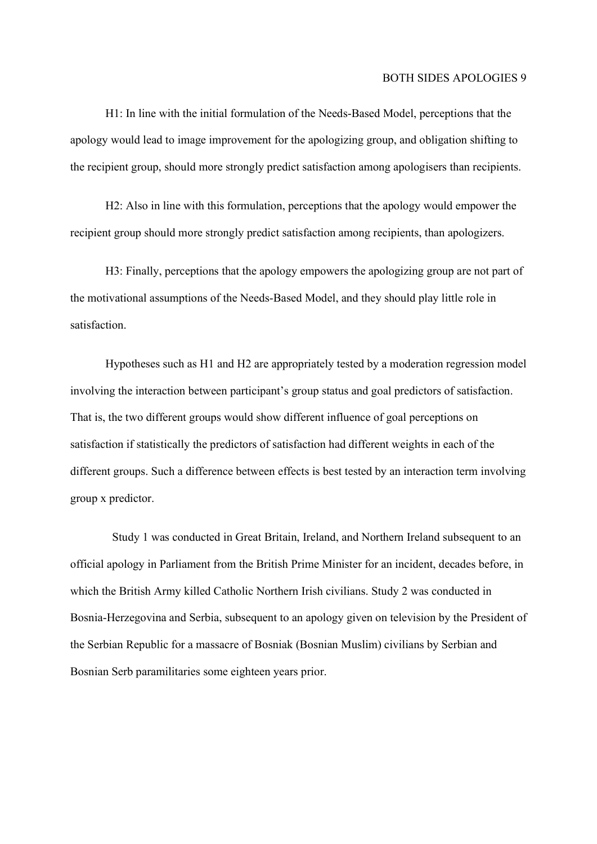H1: In line with the initial formulation of the Needs-Based Model, perceptions that the apology would lead to image improvement for the apologizing group, and obligation shifting to the recipient group, should more strongly predict satisfaction among apologisers than recipients.

H2: Also in line with this formulation, perceptions that the apology would empower the recipient group should more strongly predict satisfaction among recipients, than apologizers.

H3: Finally, perceptions that the apology empowers the apologizing group are not part of the motivational assumptions of the Needs-Based Model, and they should play little role in satisfaction.

Hypotheses such as H1 and H2 are appropriately tested by a moderation regression model involving the interaction between participant's group status and goal predictors of satisfaction. That is, the two different groups would show different influence of goal perceptions on satisfaction if statistically the predictors of satisfaction had different weights in each of the different groups. Such a difference between effects is best tested by an interaction term involving group x predictor.

Study 1 was conducted in Great Britain, Ireland, and Northern Ireland subsequent to an official apology in Parliament from the British Prime Minister for an incident, decades before, in which the British Army killed Catholic Northern Irish civilians. Study 2 was conducted in Bosnia-Herzegovina and Serbia, subsequent to an apology given on television by the President of the Serbian Republic for a massacre of Bosniak (Bosnian Muslim) civilians by Serbian and Bosnian Serb paramilitaries some eighteen years prior.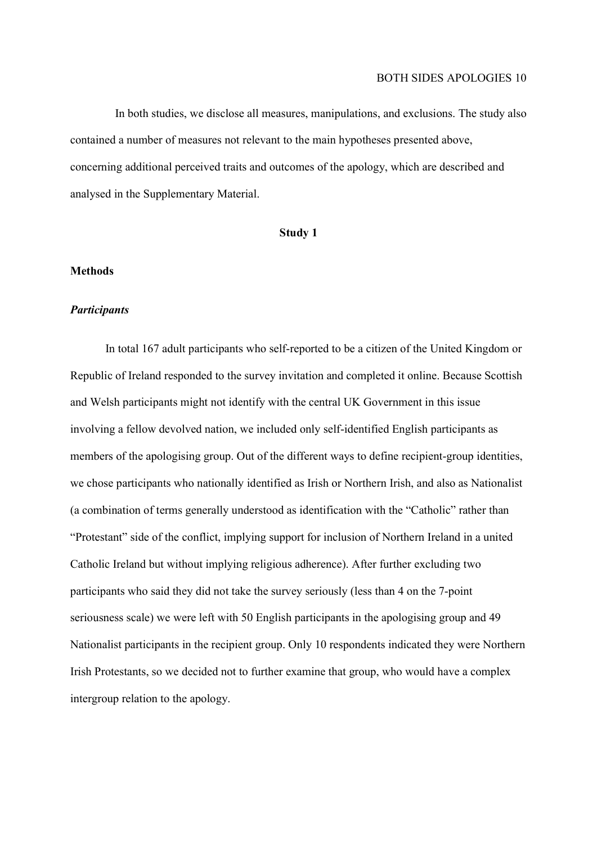In both studies, we disclose all measures, manipulations, and exclusions. The study also contained a number of measures not relevant to the main hypotheses presented above, concerning additional perceived traits and outcomes of the apology, which are described and analysed in the Supplementary Material.

#### Study 1

#### Methods

#### **Participants**

In total 167 adult participants who self-reported to be a citizen of the United Kingdom or Republic of Ireland responded to the survey invitation and completed it online. Because Scottish and Welsh participants might not identify with the central UK Government in this issue involving a fellow devolved nation, we included only self-identified English participants as members of the apologising group. Out of the different ways to define recipient-group identities, we chose participants who nationally identified as Irish or Northern Irish, and also as Nationalist (a combination of terms generally understood as identification with the "Catholic" rather than "Protestant" side of the conflict, implying support for inclusion of Northern Ireland in a united Catholic Ireland but without implying religious adherence). After further excluding two participants who said they did not take the survey seriously (less than 4 on the 7-point seriousness scale) we were left with 50 English participants in the apologising group and 49 Nationalist participants in the recipient group. Only 10 respondents indicated they were Northern Irish Protestants, so we decided not to further examine that group, who would have a complex intergroup relation to the apology.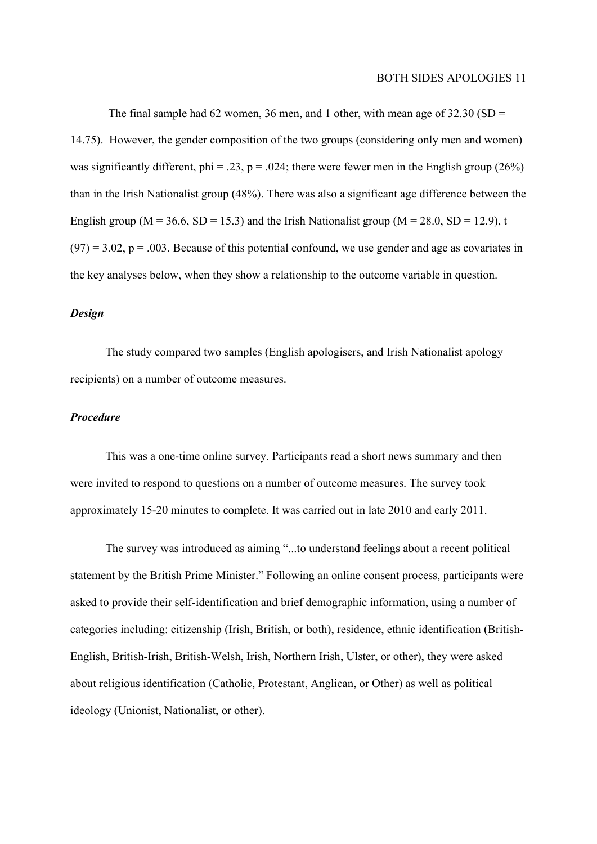The final sample had 62 women, 36 men, and 1 other, with mean age of  $32.30$  (SD = 14.75). However, the gender composition of the two groups (considering only men and women) was significantly different, phi = .23, p = .024; there were fewer men in the English group (26%) than in the Irish Nationalist group (48%). There was also a significant age difference between the English group ( $M = 36.6$ ,  $SD = 15.3$ ) and the Irish Nationalist group ( $M = 28.0$ ,  $SD = 12.9$ ), t  $(97) = 3.02$ ,  $p = .003$ . Because of this potential confound, we use gender and age as covariates in the key analyses below, when they show a relationship to the outcome variable in question.

#### Design

The study compared two samples (English apologisers, and Irish Nationalist apology recipients) on a number of outcome measures.

#### Procedure

This was a one-time online survey. Participants read a short news summary and then were invited to respond to questions on a number of outcome measures. The survey took approximately 15-20 minutes to complete. It was carried out in late 2010 and early 2011.

The survey was introduced as aiming "...to understand feelings about a recent political statement by the British Prime Minister." Following an online consent process, participants were asked to provide their self-identification and brief demographic information, using a number of categories including: citizenship (Irish, British, or both), residence, ethnic identification (British-English, British-Irish, British-Welsh, Irish, Northern Irish, Ulster, or other), they were asked about religious identification (Catholic, Protestant, Anglican, or Other) as well as political ideology (Unionist, Nationalist, or other).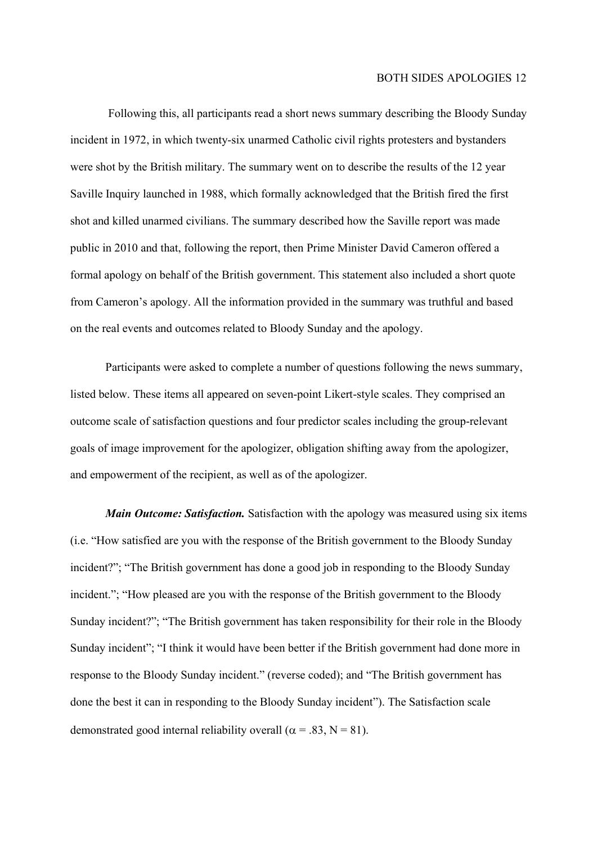Following this, all participants read a short news summary describing the Bloody Sunday incident in 1972, in which twenty-six unarmed Catholic civil rights protesters and bystanders were shot by the British military. The summary went on to describe the results of the 12 year Saville Inquiry launched in 1988, which formally acknowledged that the British fired the first shot and killed unarmed civilians. The summary described how the Saville report was made public in 2010 and that, following the report, then Prime Minister David Cameron offered a formal apology on behalf of the British government. This statement also included a short quote from Cameron's apology. All the information provided in the summary was truthful and based on the real events and outcomes related to Bloody Sunday and the apology.

Participants were asked to complete a number of questions following the news summary, listed below. These items all appeared on seven-point Likert-style scales. They comprised an outcome scale of satisfaction questions and four predictor scales including the group-relevant goals of image improvement for the apologizer, obligation shifting away from the apologizer, and empowerment of the recipient, as well as of the apologizer.

Main Outcome: Satisfaction. Satisfaction with the apology was measured using six items (i.e. "How satisfied are you with the response of the British government to the Bloody Sunday incident?"; "The British government has done a good job in responding to the Bloody Sunday incident."; "How pleased are you with the response of the British government to the Bloody Sunday incident?"; "The British government has taken responsibility for their role in the Bloody Sunday incident"; "I think it would have been better if the British government had done more in response to the Bloody Sunday incident." (reverse coded); and "The British government has done the best it can in responding to the Bloody Sunday incident"). The Satisfaction scale demonstrated good internal reliability overall ( $\alpha = .83$ , N = 81).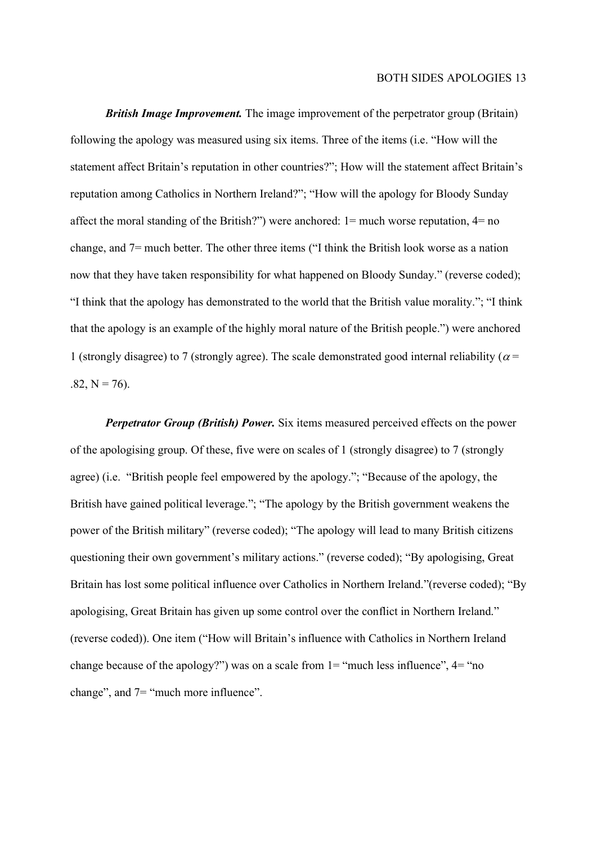**British Image Improvement.** The image improvement of the perpetrator group (Britain) following the apology was measured using six items. Three of the items (i.e. "How will the statement affect Britain's reputation in other countries?"; How will the statement affect Britain's reputation among Catholics in Northern Ireland?"; "How will the apology for Bloody Sunday affect the moral standing of the British?") were anchored: 1= much worse reputation, 4= no change, and 7= much better. The other three items ("I think the British look worse as a nation now that they have taken responsibility for what happened on Bloody Sunday." (reverse coded); "I think that the apology has demonstrated to the world that the British value morality."; "I think that the apology is an example of the highly moral nature of the British people.") were anchored 1 (strongly disagree) to 7 (strongly agree). The scale demonstrated good internal reliability ( $\alpha$  =  $.82, N = 76$ .

**Perpetrator Group (British) Power.** Six items measured perceived effects on the power of the apologising group. Of these, five were on scales of 1 (strongly disagree) to 7 (strongly agree) (i.e. "British people feel empowered by the apology."; "Because of the apology, the British have gained political leverage."; "The apology by the British government weakens the power of the British military" (reverse coded); "The apology will lead to many British citizens questioning their own government's military actions." (reverse coded); "By apologising, Great Britain has lost some political influence over Catholics in Northern Ireland."(reverse coded); "By apologising, Great Britain has given up some control over the conflict in Northern Ireland." (reverse coded)). One item ("How will Britain's influence with Catholics in Northern Ireland change because of the apology?") was on a scale from  $1 =$  "much less influence",  $4 =$  "no change", and 7= "much more influence".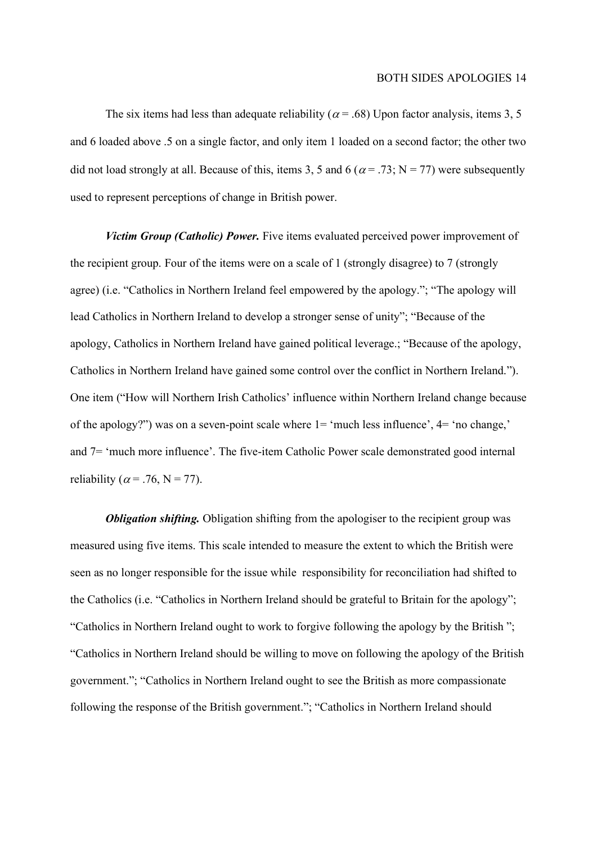The six items had less than adequate reliability ( $\alpha$  = .68) Upon factor analysis, items 3, 5 and 6 loaded above .5 on a single factor, and only item 1 loaded on a second factor; the other two did not load strongly at all. Because of this, items 3, 5 and 6 ( $\alpha$  = .73; N = 77) were subsequently used to represent perceptions of change in British power.

Victim Group (Catholic) Power. Five items evaluated perceived power improvement of the recipient group. Four of the items were on a scale of 1 (strongly disagree) to 7 (strongly agree) (i.e. "Catholics in Northern Ireland feel empowered by the apology."; "The apology will lead Catholics in Northern Ireland to develop a stronger sense of unity"; "Because of the apology, Catholics in Northern Ireland have gained political leverage.; "Because of the apology, Catholics in Northern Ireland have gained some control over the conflict in Northern Ireland."). One item ("How will Northern Irish Catholics' influence within Northern Ireland change because of the apology?") was on a seven-point scale where 1= 'much less influence', 4= 'no change,' and 7= 'much more influence'. The five-item Catholic Power scale demonstrated good internal reliability ( $\alpha$  = .76, N = 77).

**Obligation shifting.** Obligation shifting from the apologiser to the recipient group was measured using five items. This scale intended to measure the extent to which the British were seen as no longer responsible for the issue while responsibility for reconciliation had shifted to the Catholics (i.e. "Catholics in Northern Ireland should be grateful to Britain for the apology"; "Catholics in Northern Ireland ought to work to forgive following the apology by the British "; "Catholics in Northern Ireland should be willing to move on following the apology of the British government."; "Catholics in Northern Ireland ought to see the British as more compassionate following the response of the British government."; "Catholics in Northern Ireland should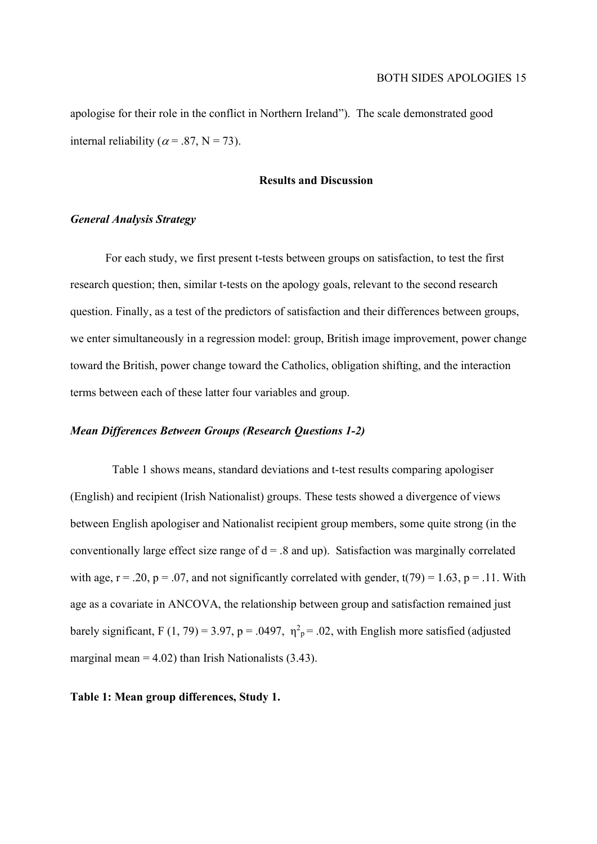apologise for their role in the conflict in Northern Ireland"). The scale demonstrated good internal reliability ( $\alpha$  = .87, N = 73).

#### Results and Discussion

#### General Analysis Strategy

For each study, we first present t-tests between groups on satisfaction, to test the first research question; then, similar t-tests on the apology goals, relevant to the second research question. Finally, as a test of the predictors of satisfaction and their differences between groups, we enter simultaneously in a regression model: group, British image improvement, power change toward the British, power change toward the Catholics, obligation shifting, and the interaction terms between each of these latter four variables and group.

#### Mean Differences Between Groups (Research Questions 1-2)

Table 1 shows means, standard deviations and t-test results comparing apologiser (English) and recipient (Irish Nationalist) groups. These tests showed a divergence of views between English apologiser and Nationalist recipient group members, some quite strong (in the conventionally large effect size range of  $d = .8$  and up). Satisfaction was marginally correlated with age,  $r = .20$ ,  $p = .07$ , and not significantly correlated with gender,  $t(79) = 1.63$ ,  $p = .11$ . With age as a covariate in ANCOVA, the relationship between group and satisfaction remained just barely significant, F (1, 79) = 3.97, p = .0497,  $\eta^2$ <sub>p</sub> = .02, with English more satisfied (adjusted marginal mean  $= 4.02$ ) than Irish Nationalists (3.43).

#### Table 1: Mean group differences, Study 1.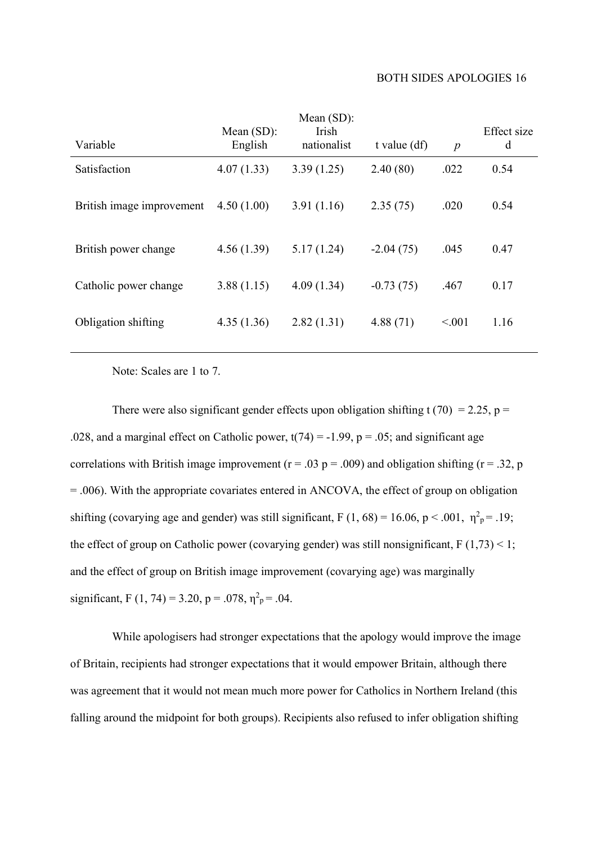| Variable                  | Mean $(SD)$ :<br>English | Mean $(SD)$ :<br>Irish<br>nationalist | t value $(df)$ | $\overline{p}$ | Effect size<br>d |
|---------------------------|--------------------------|---------------------------------------|----------------|----------------|------------------|
| Satisfaction              | 4.07(1.33)               | 3.39(1.25)                            | 2.40(80)       | .022           | 0.54             |
| British image improvement | 4.50(1.00)               | 3.91(1.16)                            | 2.35(75)       | .020           | 0.54             |
| British power change      | 4.56(1.39)               | 5.17(1.24)                            | $-2.04(75)$    | .045           | 0.47             |
| Catholic power change     | 3.88(1.15)               | 4.09(1.34)                            | $-0.73(75)$    | .467           | 0.17             |
| Obligation shifting       | 4.35(1.36)               | 2.82(1.31)                            | 4.88(71)       | < 0.001        | 1.16             |
|                           |                          |                                       |                |                |                  |

Note: Scales are 1 to 7.

There were also significant gender effects upon obligation shifting t (70) = 2.25, p = .028, and a marginal effect on Catholic power,  $t(74) = -1.99$ ,  $p = .05$ ; and significant age correlations with British image improvement ( $r = .03$  p = .009) and obligation shifting ( $r = .32$ , p = .006). With the appropriate covariates entered in ANCOVA, the effect of group on obligation shifting (covarying age and gender) was still significant, F (1, 68) = 16.06, p < .001,  $\eta^2 = 0.19$ ; the effect of group on Catholic power (covarying gender) was still nonsignificant,  $F(1,73) < 1$ ; and the effect of group on British image improvement (covarying age) was marginally significant, F (1, 74) = 3.20, p = .078,  $\eta^2$ <sub>p</sub> = .04.

While apologisers had stronger expectations that the apology would improve the image of Britain, recipients had stronger expectations that it would empower Britain, although there was agreement that it would not mean much more power for Catholics in Northern Ireland (this falling around the midpoint for both groups). Recipients also refused to infer obligation shifting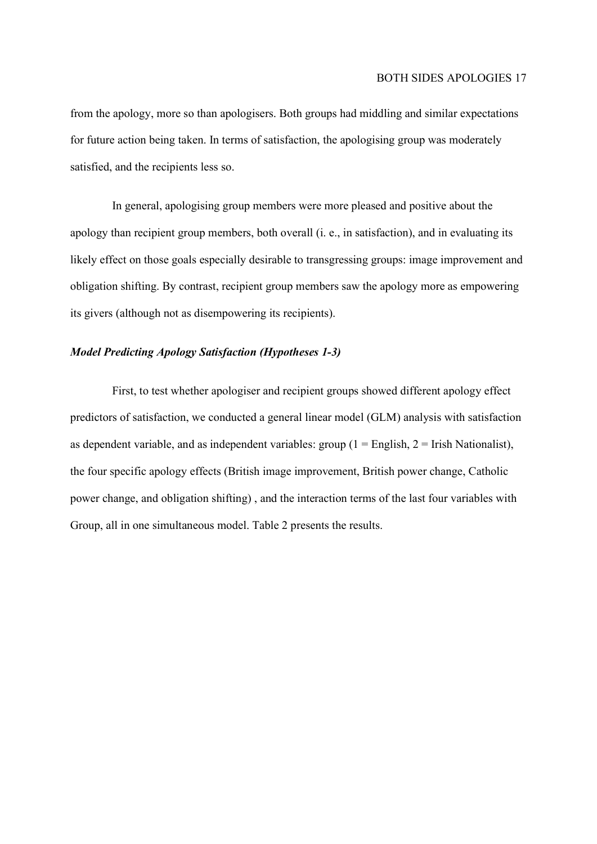from the apology, more so than apologisers. Both groups had middling and similar expectations for future action being taken. In terms of satisfaction, the apologising group was moderately satisfied, and the recipients less so.

In general, apologising group members were more pleased and positive about the apology than recipient group members, both overall (i. e., in satisfaction), and in evaluating its likely effect on those goals especially desirable to transgressing groups: image improvement and obligation shifting. By contrast, recipient group members saw the apology more as empowering its givers (although not as disempowering its recipients).

#### Model Predicting Apology Satisfaction (Hypotheses 1-3)

First, to test whether apologiser and recipient groups showed different apology effect predictors of satisfaction, we conducted a general linear model (GLM) analysis with satisfaction as dependent variable, and as independent variables: group  $(1 =$  English,  $2 =$  Irish Nationalist), the four specific apology effects (British image improvement, British power change, Catholic power change, and obligation shifting) , and the interaction terms of the last four variables with Group, all in one simultaneous model. Table 2 presents the results.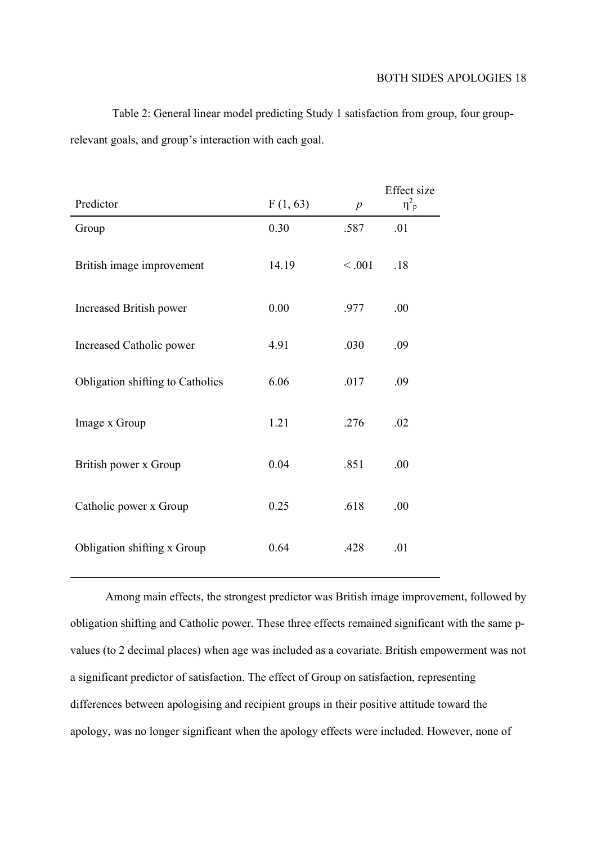Table 2: General linear model predicting Study 1 satisfaction from group, four grouprelevant goals, and group's interaction with each goal.

|                                  |          |                  | Effect size           |
|----------------------------------|----------|------------------|-----------------------|
| Predictor                        | F(1, 63) | $\boldsymbol{p}$ | $\eta^2$ <sub>p</sub> |
| Group                            | 0.30     | .587             | .01                   |
| British image improvement        | 14.19    | < .001           | .18                   |
| Increased British power          | 0.00     | .977             | .00                   |
| Increased Catholic power         | 4.91     | .030             | .09                   |
| Obligation shifting to Catholics | 6.06     | .017             | .09                   |
| Image x Group                    | 1.21     | .276             | .02                   |
| British power x Group            | 0.04     | .851             | .00                   |
| Catholic power x Group           | 0.25     | .618             | .00                   |
| Obligation shifting x Group      | 0.64     | .428             | .01                   |

Among main effects, the strongest predictor was British image improvement, followed by obligation shifting and Catholic power. These three effects remained significant with the same pvalues (to 2 decimal places) when age was included as a covariate. British empowerment was not a significant predictor of satisfaction. The effect of Group on satisfaction, representing differences between apologising and recipient groups in their positive attitude toward the apology, was no longer significant when the apology effects were included. However, none of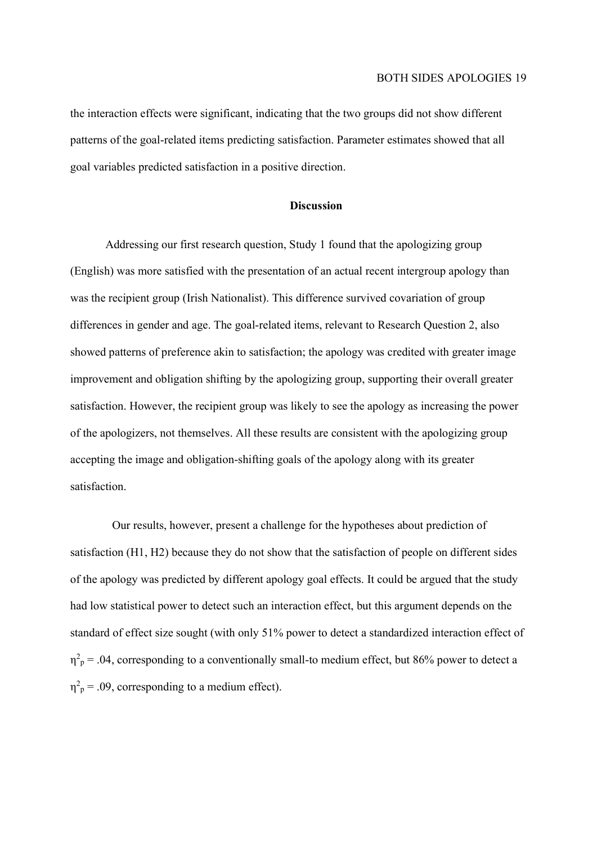the interaction effects were significant, indicating that the two groups did not show different patterns of the goal-related items predicting satisfaction. Parameter estimates showed that all goal variables predicted satisfaction in a positive direction.

#### **Discussion**

Addressing our first research question, Study 1 found that the apologizing group (English) was more satisfied with the presentation of an actual recent intergroup apology than was the recipient group (Irish Nationalist). This difference survived covariation of group differences in gender and age. The goal-related items, relevant to Research Question 2, also showed patterns of preference akin to satisfaction; the apology was credited with greater image improvement and obligation shifting by the apologizing group, supporting their overall greater satisfaction. However, the recipient group was likely to see the apology as increasing the power of the apologizers, not themselves. All these results are consistent with the apologizing group accepting the image and obligation-shifting goals of the apology along with its greater satisfaction.

Our results, however, present a challenge for the hypotheses about prediction of satisfaction (H1, H2) because they do not show that the satisfaction of people on different sides of the apology was predicted by different apology goal effects. It could be argued that the study had low statistical power to detect such an interaction effect, but this argument depends on the standard of effect size sought (with only 51% power to detect a standardized interaction effect of  $\eta^2$ <sub>p</sub> = .04, corresponding to a conventionally small-to medium effect, but 86% power to detect a  $\eta^2$ <sub>p</sub> = .09, corresponding to a medium effect).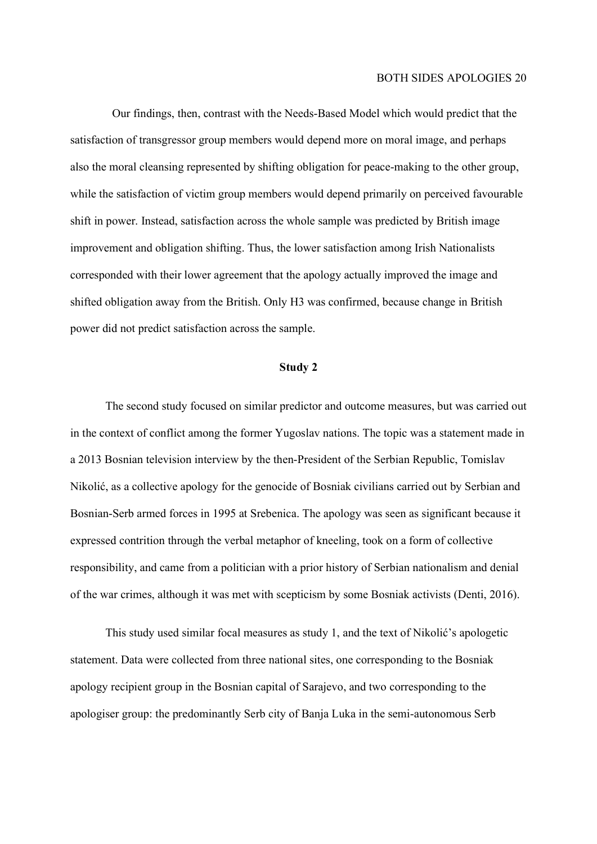Our findings, then, contrast with the Needs-Based Model which would predict that the satisfaction of transgressor group members would depend more on moral image, and perhaps also the moral cleansing represented by shifting obligation for peace-making to the other group, while the satisfaction of victim group members would depend primarily on perceived favourable shift in power. Instead, satisfaction across the whole sample was predicted by British image improvement and obligation shifting. Thus, the lower satisfaction among Irish Nationalists corresponded with their lower agreement that the apology actually improved the image and shifted obligation away from the British. Only H3 was confirmed, because change in British power did not predict satisfaction across the sample.

#### Study 2

 The second study focused on similar predictor and outcome measures, but was carried out in the context of conflict among the former Yugoslav nations. The topic was a statement made in a 2013 Bosnian television interview by the then-President of the Serbian Republic, Tomislav Nikolić, as a collective apology for the genocide of Bosniak civilians carried out by Serbian and Bosnian-Serb armed forces in 1995 at Srebenica. The apology was seen as significant because it expressed contrition through the verbal metaphor of kneeling, took on a form of collective responsibility, and came from a politician with a prior history of Serbian nationalism and denial of the war crimes, although it was met with scepticism by some Bosniak activists (Denti, 2016).

 This study used similar focal measures as study 1, and the text of Nikolić's apologetic statement. Data were collected from three national sites, one corresponding to the Bosniak apology recipient group in the Bosnian capital of Sarajevo, and two corresponding to the apologiser group: the predominantly Serb city of Banja Luka in the semi-autonomous Serb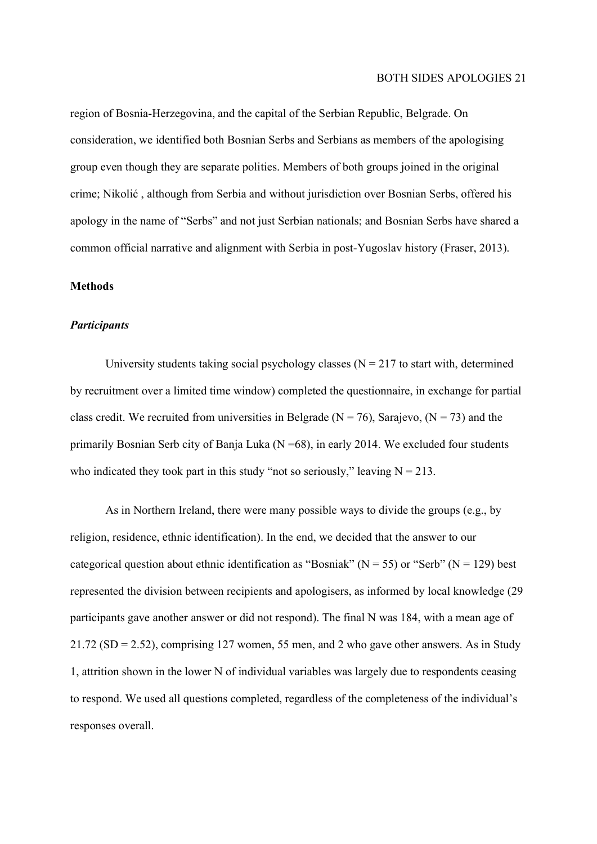region of Bosnia-Herzegovina, and the capital of the Serbian Republic, Belgrade. On consideration, we identified both Bosnian Serbs and Serbians as members of the apologising group even though they are separate polities. Members of both groups joined in the original crime; Nikolić , although from Serbia and without jurisdiction over Bosnian Serbs, offered his apology in the name of "Serbs" and not just Serbian nationals; and Bosnian Serbs have shared a common official narrative and alignment with Serbia in post-Yugoslav history (Fraser, 2013).

#### **Methods**

#### **Participants**

University students taking social psychology classes  $(N = 217)$  to start with, determined by recruitment over a limited time window) completed the questionnaire, in exchange for partial class credit. We recruited from universities in Belgrade ( $N = 76$ ), Sarajevo, ( $N = 73$ ) and the primarily Bosnian Serb city of Banja Luka ( $N = 68$ ), in early 2014. We excluded four students who indicated they took part in this study "not so seriously," leaving  $N = 213$ .

As in Northern Ireland, there were many possible ways to divide the groups (e.g., by religion, residence, ethnic identification). In the end, we decided that the answer to our categorical question about ethnic identification as "Bosniak" ( $N = 55$ ) or "Serb" ( $N = 129$ ) best represented the division between recipients and apologisers, as informed by local knowledge (29 participants gave another answer or did not respond). The final N was 184, with a mean age of  $21.72$  (SD = 2.52), comprising 127 women, 55 men, and 2 who gave other answers. As in Study 1, attrition shown in the lower N of individual variables was largely due to respondents ceasing to respond. We used all questions completed, regardless of the completeness of the individual's responses overall.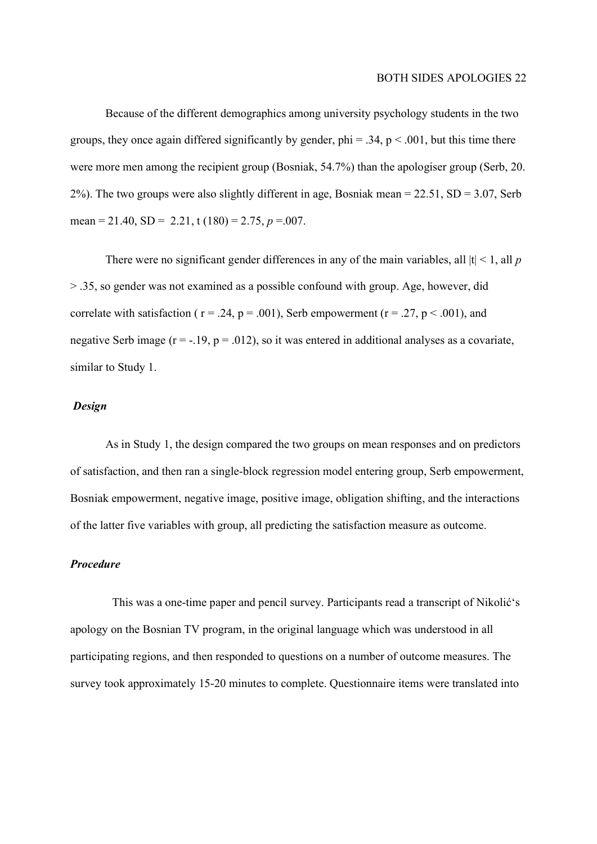Because of the different demographics among university psychology students in the two groups, they once again differed significantly by gender,  $phi = .34$ ,  $p < .001$ , but this time there were more men among the recipient group (Bosniak, 54.7%) than the apologiser group (Serb, 20. 2%). The two groups were also slightly different in age, Bosniak mean =  $22.51$ , SD =  $3.07$ , Serb mean = 21.40,  $SD = 2.21$ , t (180) = 2.75, p = 0.07.

There were no significant gender differences in any of the main variables, all  $|t| < 1$ , all p > .35, so gender was not examined as a possible confound with group. Age, however, did correlate with satisfaction ( $r = .24$ ,  $p = .001$ ), Serb empowerment ( $r = .27$ ,  $p < .001$ ), and negative Serb image  $(r = -.19, p = .012)$ , so it was entered in additional analyses as a covariate, similar to Study 1.

#### Design

 As in Study 1, the design compared the two groups on mean responses and on predictors of satisfaction, and then ran a single-block regression model entering group, Serb empowerment, Bosniak empowerment, negative image, positive image, obligation shifting, and the interactions of the latter five variables with group, all predicting the satisfaction measure as outcome.

#### Procedure

This was a one-time paper and pencil survey. Participants read a transcript of Nikolić's apology on the Bosnian TV program, in the original language which was understood in all participating regions, and then responded to questions on a number of outcome measures. The survey took approximately 15-20 minutes to complete. Questionnaire items were translated into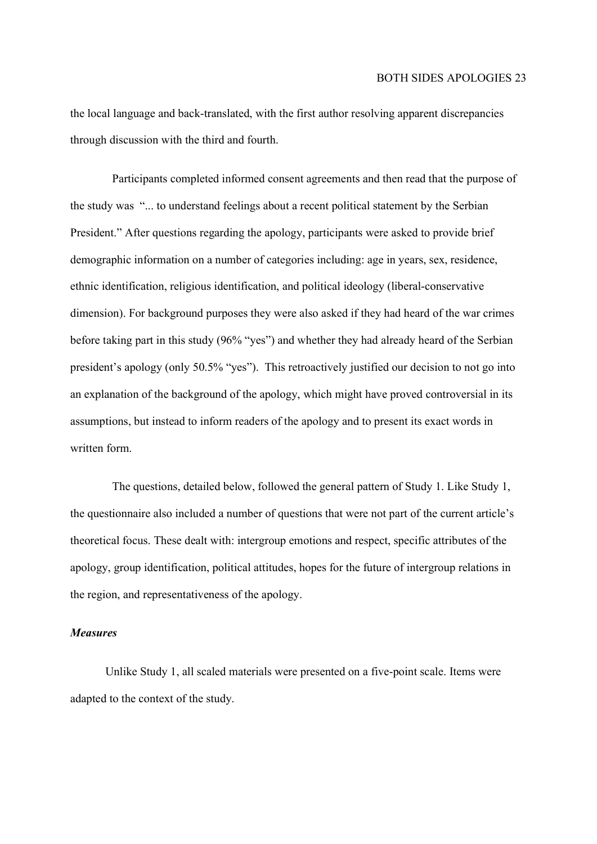the local language and back-translated, with the first author resolving apparent discrepancies through discussion with the third and fourth.

Participants completed informed consent agreements and then read that the purpose of the study was "... to understand feelings about a recent political statement by the Serbian President." After questions regarding the apology, participants were asked to provide brief demographic information on a number of categories including: age in years, sex, residence, ethnic identification, religious identification, and political ideology (liberal-conservative dimension). For background purposes they were also asked if they had heard of the war crimes before taking part in this study (96% "yes") and whether they had already heard of the Serbian president's apology (only 50.5% "yes"). This retroactively justified our decision to not go into an explanation of the background of the apology, which might have proved controversial in its assumptions, but instead to inform readers of the apology and to present its exact words in written form.

The questions, detailed below, followed the general pattern of Study 1. Like Study 1, the questionnaire also included a number of questions that were not part of the current article's theoretical focus. These dealt with: intergroup emotions and respect, specific attributes of the apology, group identification, political attitudes, hopes for the future of intergroup relations in the region, and representativeness of the apology.

#### Measures

Unlike Study 1, all scaled materials were presented on a five-point scale. Items were adapted to the context of the study.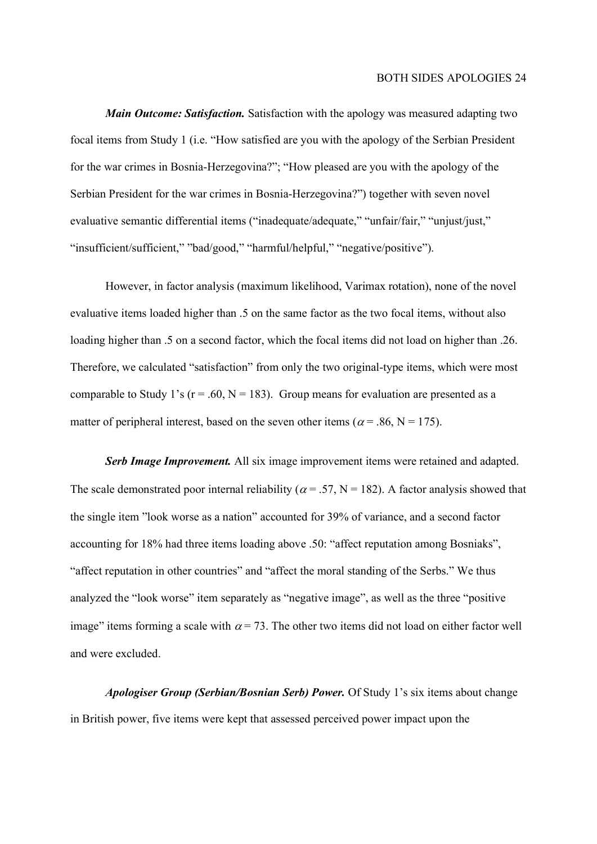**Main Outcome: Satisfaction.** Satisfaction with the apology was measured adapting two focal items from Study 1 (i.e. "How satisfied are you with the apology of the Serbian President for the war crimes in Bosnia-Herzegovina?"; "How pleased are you with the apology of the Serbian President for the war crimes in Bosnia-Herzegovina?") together with seven novel evaluative semantic differential items ("inadequate/adequate," "unfair/fair," "unjust/just," "insufficient/sufficient," "bad/good," "harmful/helpful," "negative/positive").

However, in factor analysis (maximum likelihood, Varimax rotation), none of the novel evaluative items loaded higher than .5 on the same factor as the two focal items, without also loading higher than .5 on a second factor, which the focal items did not load on higher than .26. Therefore, we calculated "satisfaction" from only the two original-type items, which were most comparable to Study 1's ( $r = .60$ ,  $N = 183$ ). Group means for evaluation are presented as a matter of peripheral interest, based on the seven other items ( $\alpha$  = .86, N = 175).

Serb Image Improvement. All six image improvement items were retained and adapted. The scale demonstrated poor internal reliability ( $\alpha$  = .57, N = 182). A factor analysis showed that the single item "look worse as a nation" accounted for 39% of variance, and a second factor accounting for 18% had three items loading above .50: "affect reputation among Bosniaks", "affect reputation in other countries" and "affect the moral standing of the Serbs." We thus analyzed the "look worse" item separately as "negative image", as well as the three "positive image" items forming a scale with  $\alpha = 73$ . The other two items did not load on either factor well and were excluded.

Apologiser Group (Serbian/Bosnian Serb) Power. Of Study 1's six items about change in British power, five items were kept that assessed perceived power impact upon the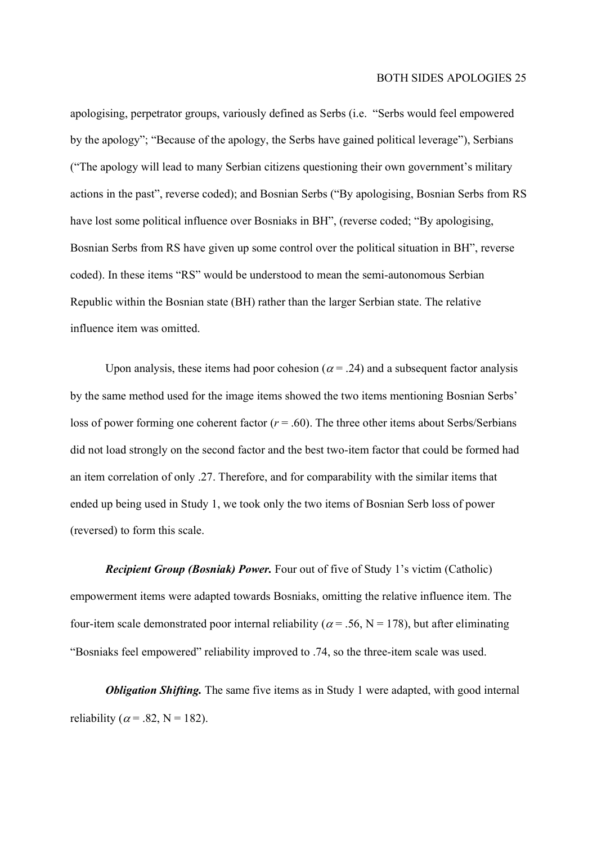apologising, perpetrator groups, variously defined as Serbs (i.e. "Serbs would feel empowered by the apology"; "Because of the apology, the Serbs have gained political leverage"), Serbians ("The apology will lead to many Serbian citizens questioning their own government's military actions in the past", reverse coded); and Bosnian Serbs ("By apologising, Bosnian Serbs from RS have lost some political influence over Bosniaks in BH", (reverse coded; "By apologising, Bosnian Serbs from RS have given up some control over the political situation in BH", reverse coded). In these items "RS" would be understood to mean the semi-autonomous Serbian Republic within the Bosnian state (BH) rather than the larger Serbian state. The relative influence item was omitted.

Upon analysis, these items had poor cohesion ( $\alpha = .24$ ) and a subsequent factor analysis by the same method used for the image items showed the two items mentioning Bosnian Serbs' loss of power forming one coherent factor ( $r = .60$ ). The three other items about Serbs/Serbians did not load strongly on the second factor and the best two-item factor that could be formed had an item correlation of only .27. Therefore, and for comparability with the similar items that ended up being used in Study 1, we took only the two items of Bosnian Serb loss of power (reversed) to form this scale.

Recipient Group (Bosniak) Power. Four out of five of Study 1's victim (Catholic) empowerment items were adapted towards Bosniaks, omitting the relative influence item. The four-item scale demonstrated poor internal reliability ( $\alpha$  = .56, N = 178), but after eliminating "Bosniaks feel empowered" reliability improved to .74, so the three-item scale was used.

**Obligation Shifting.** The same five items as in Study 1 were adapted, with good internal reliability ( $\alpha$  = .82, N = 182).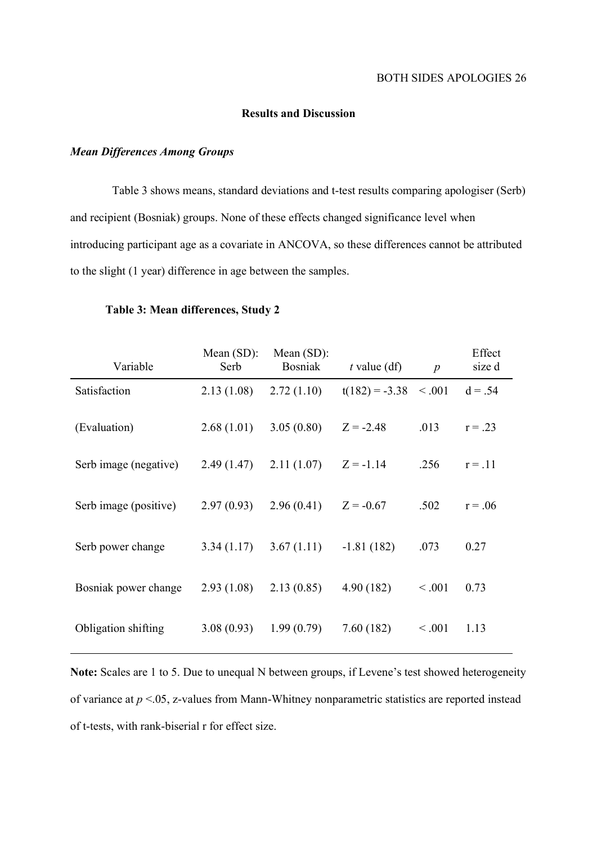#### Results and Discussion

#### Mean Differences Among Groups

Table 3 shows means, standard deviations and t-test results comparing apologiser (Serb) and recipient (Bosniak) groups. None of these effects changed significance level when introducing participant age as a covariate in ANCOVA, so these differences cannot be attributed to the slight (1 year) difference in age between the samples.

| Variable              | Mean $(SD)$ :<br>Serb | Mean $(SD)$ :<br><b>Bosniak</b> | t value $(df)$           | $\boldsymbol{p}$ | Effect<br>size d |
|-----------------------|-----------------------|---------------------------------|--------------------------|------------------|------------------|
| Satisfaction          | 2.13(1.08)            | 2.72(1.10)                      | $t(182) = -3.38 < 0.001$ |                  | $d = .54$        |
| (Evaluation)          | 2.68(1.01)            | 3.05(0.80)                      | $Z = -2.48$              | .013             | $r = .23$        |
| Serb image (negative) | 2.49(1.47)            | 2.11(1.07)                      | $Z = -1.14$              | .256             | $r = .11$        |
| Serb image (positive) | 2.97(0.93)            | 2.96(0.41)                      | $Z = -0.67$              | .502             | $r = .06$        |
| Serb power change     | 3.34(1.17)            | 3.67(1.11)                      | $-1.81(182)$             | .073             | 0.27             |
| Bosniak power change  | 2.93(1.08)            | 2.13(0.85)                      | 4.90(182)                | < .001           | 0.73             |
| Obligation shifting   | 3.08(0.93)            | 1.99(0.79)                      | 7.60(182)                | < 0.001          | 1.13             |

#### Table 3: Mean differences, Study 2

Note: Scales are 1 to 5. Due to unequal N between groups, if Levene's test showed heterogeneity of variance at  $p < 0.05$ , z-values from Mann-Whitney nonparametric statistics are reported instead of t-tests, with rank-biserial r for effect size.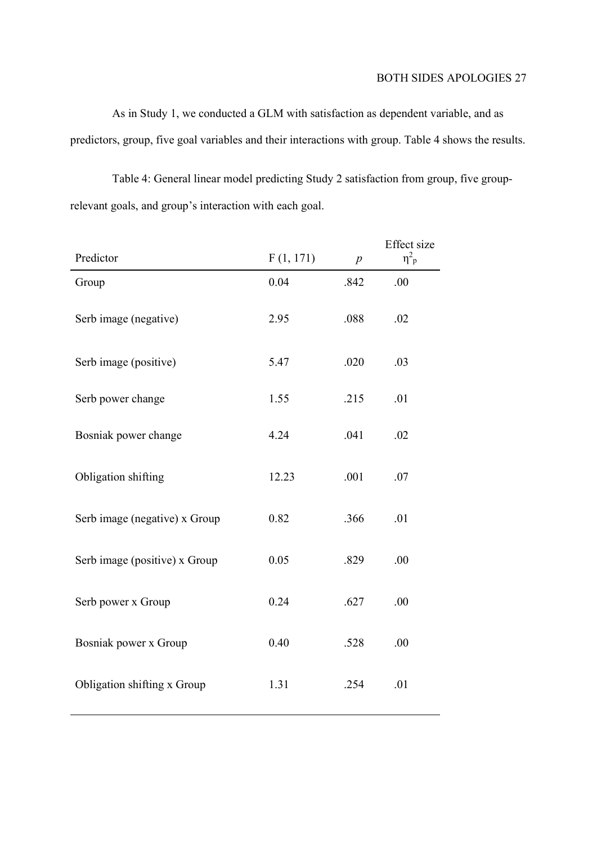As in Study 1, we conducted a GLM with satisfaction as dependent variable, and as predictors, group, five goal variables and their interactions with group. Table 4 shows the results.

Table 4: General linear model predicting Study 2 satisfaction from group, five grouprelevant goals, and group's interaction with each goal.

| Predictor                     | F(1, 171) | $\boldsymbol{p}$ | Effect size<br>$\eta^2$ <sub>p</sub> |
|-------------------------------|-----------|------------------|--------------------------------------|
| Group                         | 0.04      | .842             | .00                                  |
| Serb image (negative)         | 2.95      | .088             | .02                                  |
| Serb image (positive)         | 5.47      | .020             | .03                                  |
| Serb power change             | 1.55      | .215             | .01                                  |
| Bosniak power change          | 4.24      | .041             | .02                                  |
| Obligation shifting           | 12.23     | .001             | .07                                  |
| Serb image (negative) x Group | 0.82      | .366             | .01                                  |
| Serb image (positive) x Group | 0.05      | .829             | .00                                  |
| Serb power x Group            | 0.24      | .627             | .00                                  |
| Bosniak power x Group         | 0.40      | .528             | .00                                  |
| Obligation shifting x Group   | 1.31      | .254             | .01                                  |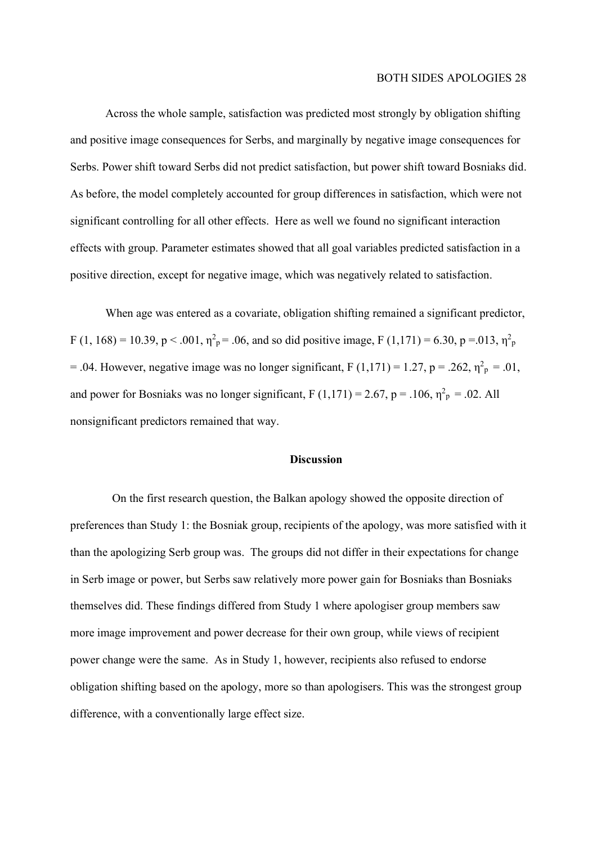Across the whole sample, satisfaction was predicted most strongly by obligation shifting and positive image consequences for Serbs, and marginally by negative image consequences for Serbs. Power shift toward Serbs did not predict satisfaction, but power shift toward Bosniaks did. As before, the model completely accounted for group differences in satisfaction, which were not significant controlling for all other effects. Here as well we found no significant interaction effects with group. Parameter estimates showed that all goal variables predicted satisfaction in a positive direction, except for negative image, which was negatively related to satisfaction.

When age was entered as a covariate, obligation shifting remained a significant predictor, F (1, 168) = 10.39, p < .001,  $\eta^2$ <sub>p</sub> = .06, and so did positive image, F (1,171) = 6.30, p = .013,  $\eta^2$ <sub>p</sub> = .04. However, negative image was no longer significant,  $F(1,171) = 1.27$ ,  $p = .262$ ,  $\eta^2 p = .01$ , and power for Bosniaks was no longer significant,  $F(1,171) = 2.67$ ,  $p = .106$ ,  $\eta_p^2 = .02$ . All nonsignificant predictors remained that way.

#### Discussion

On the first research question, the Balkan apology showed the opposite direction of preferences than Study 1: the Bosniak group, recipients of the apology, was more satisfied with it than the apologizing Serb group was. The groups did not differ in their expectations for change in Serb image or power, but Serbs saw relatively more power gain for Bosniaks than Bosniaks themselves did. These findings differed from Study 1 where apologiser group members saw more image improvement and power decrease for their own group, while views of recipient power change were the same. As in Study 1, however, recipients also refused to endorse obligation shifting based on the apology, more so than apologisers. This was the strongest group difference, with a conventionally large effect size.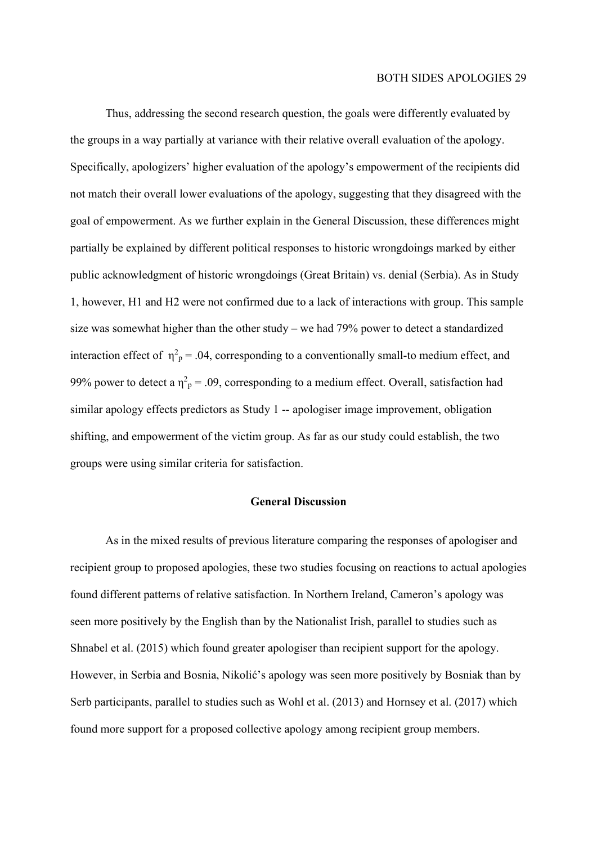Thus, addressing the second research question, the goals were differently evaluated by the groups in a way partially at variance with their relative overall evaluation of the apology. Specifically, apologizers' higher evaluation of the apology's empowerment of the recipients did not match their overall lower evaluations of the apology, suggesting that they disagreed with the goal of empowerment. As we further explain in the General Discussion, these differences might partially be explained by different political responses to historic wrongdoings marked by either public acknowledgment of historic wrongdoings (Great Britain) vs. denial (Serbia). As in Study 1, however, H1 and H2 were not confirmed due to a lack of interactions with group. This sample size was somewhat higher than the other study – we had 79% power to detect a standardized interaction effect of  $\eta^2$ <sub>p</sub> = .04, corresponding to a conventionally small-to medium effect, and 99% power to detect a  $\eta^2$ <sub>p</sub> = .09, corresponding to a medium effect. Overall, satisfaction had similar apology effects predictors as Study 1 -- apologiser image improvement, obligation shifting, and empowerment of the victim group. As far as our study could establish, the two groups were using similar criteria for satisfaction.

#### General Discussion

As in the mixed results of previous literature comparing the responses of apologiser and recipient group to proposed apologies, these two studies focusing on reactions to actual apologies found different patterns of relative satisfaction. In Northern Ireland, Cameron's apology was seen more positively by the English than by the Nationalist Irish, parallel to studies such as Shnabel et al. (2015) which found greater apologiser than recipient support for the apology. However, in Serbia and Bosnia, Nikolić's apology was seen more positively by Bosniak than by Serb participants, parallel to studies such as Wohl et al. (2013) and Hornsey et al. (2017) which found more support for a proposed collective apology among recipient group members.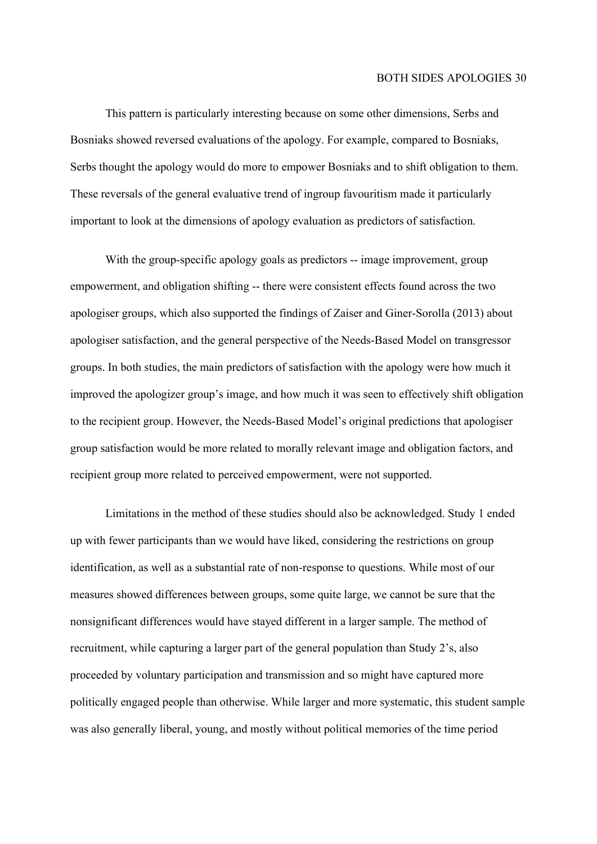This pattern is particularly interesting because on some other dimensions, Serbs and Bosniaks showed reversed evaluations of the apology. For example, compared to Bosniaks, Serbs thought the apology would do more to empower Bosniaks and to shift obligation to them. These reversals of the general evaluative trend of ingroup favouritism made it particularly important to look at the dimensions of apology evaluation as predictors of satisfaction.

With the group-specific apology goals as predictors -- image improvement, group empowerment, and obligation shifting -- there were consistent effects found across the two apologiser groups, which also supported the findings of Zaiser and Giner-Sorolla (2013) about apologiser satisfaction, and the general perspective of the Needs-Based Model on transgressor groups. In both studies, the main predictors of satisfaction with the apology were how much it improved the apologizer group's image, and how much it was seen to effectively shift obligation to the recipient group. However, the Needs-Based Model's original predictions that apologiser group satisfaction would be more related to morally relevant image and obligation factors, and recipient group more related to perceived empowerment, were not supported.

Limitations in the method of these studies should also be acknowledged. Study 1 ended up with fewer participants than we would have liked, considering the restrictions on group identification, as well as a substantial rate of non-response to questions. While most of our measures showed differences between groups, some quite large, we cannot be sure that the nonsignificant differences would have stayed different in a larger sample. The method of recruitment, while capturing a larger part of the general population than Study 2's, also proceeded by voluntary participation and transmission and so might have captured more politically engaged people than otherwise. While larger and more systematic, this student sample was also generally liberal, young, and mostly without political memories of the time period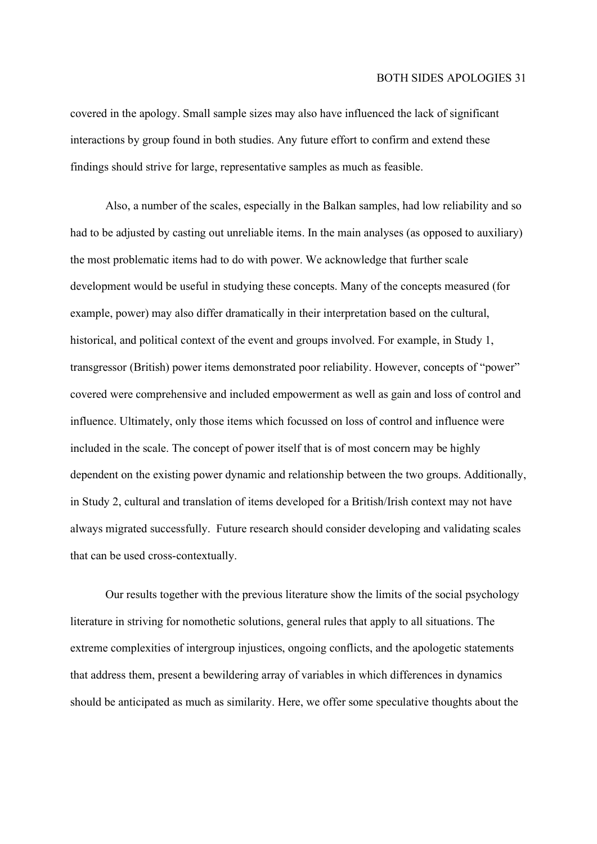covered in the apology. Small sample sizes may also have influenced the lack of significant interactions by group found in both studies. Any future effort to confirm and extend these findings should strive for large, representative samples as much as feasible.

Also, a number of the scales, especially in the Balkan samples, had low reliability and so had to be adjusted by casting out unreliable items. In the main analyses (as opposed to auxiliary) the most problematic items had to do with power. We acknowledge that further scale development would be useful in studying these concepts. Many of the concepts measured (for example, power) may also differ dramatically in their interpretation based on the cultural, historical, and political context of the event and groups involved. For example, in Study 1, transgressor (British) power items demonstrated poor reliability. However, concepts of "power" covered were comprehensive and included empowerment as well as gain and loss of control and influence. Ultimately, only those items which focussed on loss of control and influence were included in the scale. The concept of power itself that is of most concern may be highly dependent on the existing power dynamic and relationship between the two groups. Additionally, in Study 2, cultural and translation of items developed for a British/Irish context may not have always migrated successfully. Future research should consider developing and validating scales that can be used cross-contextually.

Our results together with the previous literature show the limits of the social psychology literature in striving for nomothetic solutions, general rules that apply to all situations. The extreme complexities of intergroup injustices, ongoing conflicts, and the apologetic statements that address them, present a bewildering array of variables in which differences in dynamics should be anticipated as much as similarity. Here, we offer some speculative thoughts about the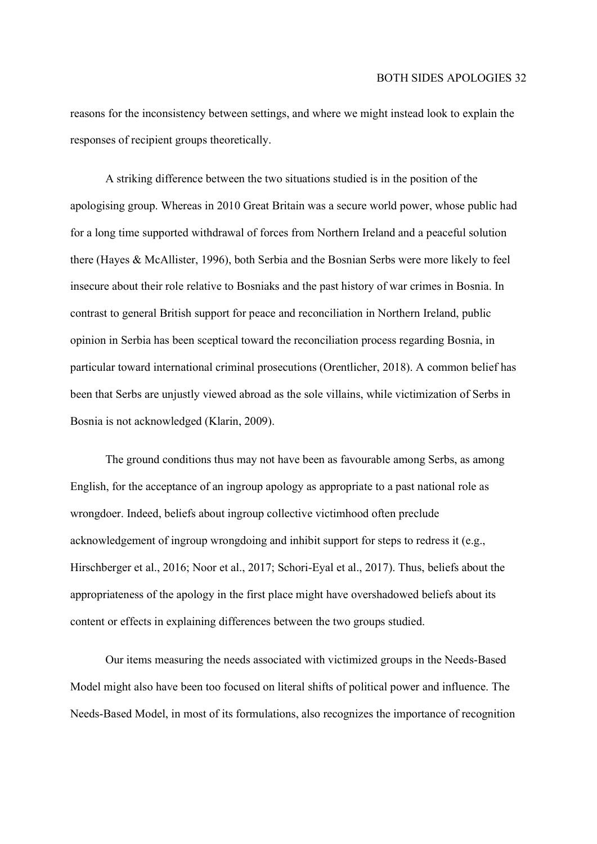reasons for the inconsistency between settings, and where we might instead look to explain the responses of recipient groups theoretically.

A striking difference between the two situations studied is in the position of the apologising group. Whereas in 2010 Great Britain was a secure world power, whose public had for a long time supported withdrawal of forces from Northern Ireland and a peaceful solution there (Hayes & McAllister, 1996), both Serbia and the Bosnian Serbs were more likely to feel insecure about their role relative to Bosniaks and the past history of war crimes in Bosnia. In contrast to general British support for peace and reconciliation in Northern Ireland, public opinion in Serbia has been sceptical toward the reconciliation process regarding Bosnia, in particular toward international criminal prosecutions (Orentlicher, 2018). A common belief has been that Serbs are unjustly viewed abroad as the sole villains, while victimization of Serbs in Bosnia is not acknowledged (Klarin, 2009).

The ground conditions thus may not have been as favourable among Serbs, as among English, for the acceptance of an ingroup apology as appropriate to a past national role as wrongdoer. Indeed, beliefs about ingroup collective victimhood often preclude acknowledgement of ingroup wrongdoing and inhibit support for steps to redress it (e.g., Hirschberger et al., 2016; Noor et al., 2017; Schori-Eyal et al., 2017). Thus, beliefs about the appropriateness of the apology in the first place might have overshadowed beliefs about its content or effects in explaining differences between the two groups studied.

Our items measuring the needs associated with victimized groups in the Needs-Based Model might also have been too focused on literal shifts of political power and influence. The Needs-Based Model, in most of its formulations, also recognizes the importance of recognition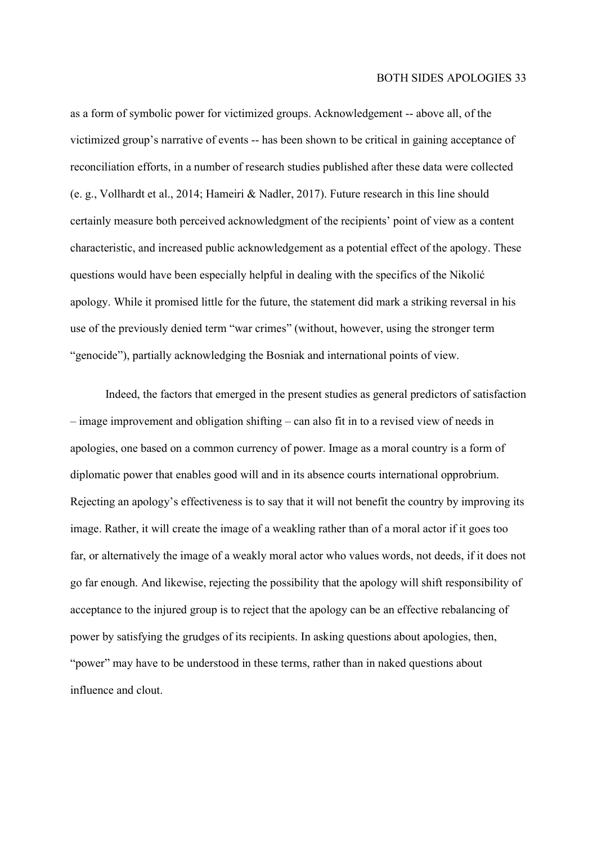as a form of symbolic power for victimized groups. Acknowledgement -- above all, of the victimized group's narrative of events -- has been shown to be critical in gaining acceptance of reconciliation efforts, in a number of research studies published after these data were collected (e. g., Vollhardt et al., 2014; Hameiri & Nadler, 2017). Future research in this line should certainly measure both perceived acknowledgment of the recipients' point of view as a content characteristic, and increased public acknowledgement as a potential effect of the apology. These questions would have been especially helpful in dealing with the specifics of the Nikolić apology. While it promised little for the future, the statement did mark a striking reversal in his use of the previously denied term "war crimes" (without, however, using the stronger term "genocide"), partially acknowledging the Bosniak and international points of view.

Indeed, the factors that emerged in the present studies as general predictors of satisfaction – image improvement and obligation shifting – can also fit in to a revised view of needs in apologies, one based on a common currency of power. Image as a moral country is a form of diplomatic power that enables good will and in its absence courts international opprobrium. Rejecting an apology's effectiveness is to say that it will not benefit the country by improving its image. Rather, it will create the image of a weakling rather than of a moral actor if it goes too far, or alternatively the image of a weakly moral actor who values words, not deeds, if it does not go far enough. And likewise, rejecting the possibility that the apology will shift responsibility of acceptance to the injured group is to reject that the apology can be an effective rebalancing of power by satisfying the grudges of its recipients. In asking questions about apologies, then, "power" may have to be understood in these terms, rather than in naked questions about influence and clout.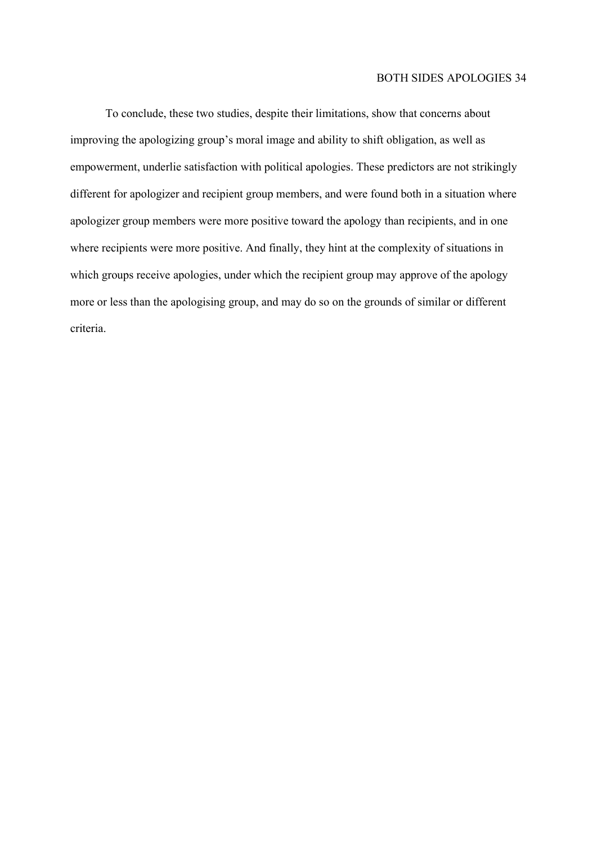To conclude, these two studies, despite their limitations, show that concerns about improving the apologizing group's moral image and ability to shift obligation, as well as empowerment, underlie satisfaction with political apologies. These predictors are not strikingly different for apologizer and recipient group members, and were found both in a situation where apologizer group members were more positive toward the apology than recipients, and in one where recipients were more positive. And finally, they hint at the complexity of situations in which groups receive apologies, under which the recipient group may approve of the apology more or less than the apologising group, and may do so on the grounds of similar or different criteria.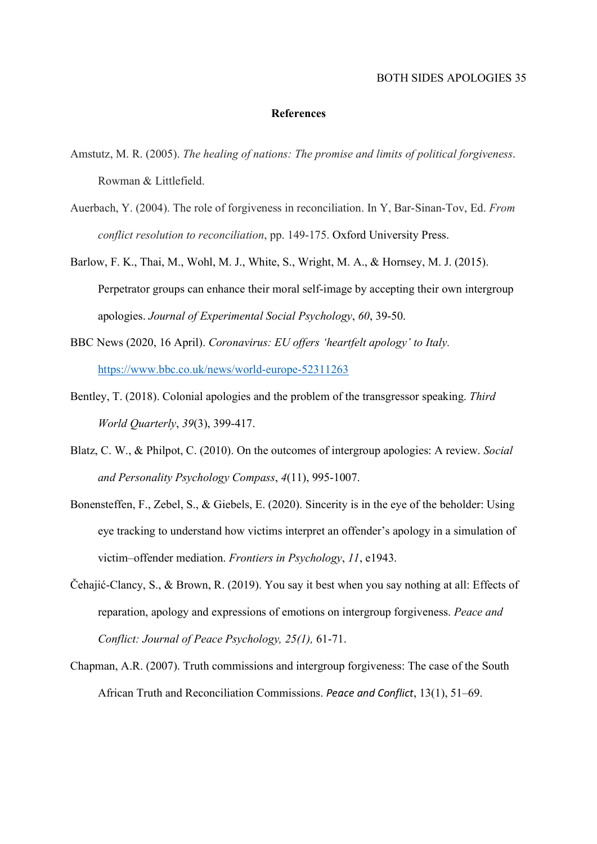#### References

- Amstutz, M. R. (2005). The healing of nations: The promise and limits of political forgiveness. Rowman & Littlefield.
- Auerbach, Y. (2004). The role of forgiveness in reconciliation. In Y, Bar-Sinan-Tov, Ed. From conflict resolution to reconciliation, pp. 149-175. Oxford University Press.
- Barlow, F. K., Thai, M., Wohl, M. J., White, S., Wright, M. A., & Hornsey, M. J. (2015). Perpetrator groups can enhance their moral self-image by accepting their own intergroup apologies. Journal of Experimental Social Psychology, 60, 39-50.
- BBC News (2020, 16 April). Coronavirus: EU offers 'heartfelt apology' to Italy. https://www.bbc.co.uk/news/world-europe-52311263
- Bentley, T. (2018). Colonial apologies and the problem of the transgressor speaking. Third World Quarterly, 39(3), 399-417.
- Blatz, C. W., & Philpot, C. (2010). On the outcomes of intergroup apologies: A review. Social and Personality Psychology Compass, 4(11), 995-1007.
- Bonensteffen, F., Zebel, S., & Giebels, E. (2020). Sincerity is in the eye of the beholder: Using eye tracking to understand how victims interpret an offender's apology in a simulation of victim–offender mediation. Frontiers in Psychology, 11, e1943.
- Čehajić-Clancy, S., & Brown, R. (2019). You say it best when you say nothing at all: Effects of reparation, apology and expressions of emotions on intergroup forgiveness. Peace and Conflict: Journal of Peace Psychology, 25(1), 61-71.
- Chapman, A.R. (2007). Truth commissions and intergroup forgiveness: The case of the South African Truth and Reconciliation Commissions. Peace and Conflict, 13(1), 51–69.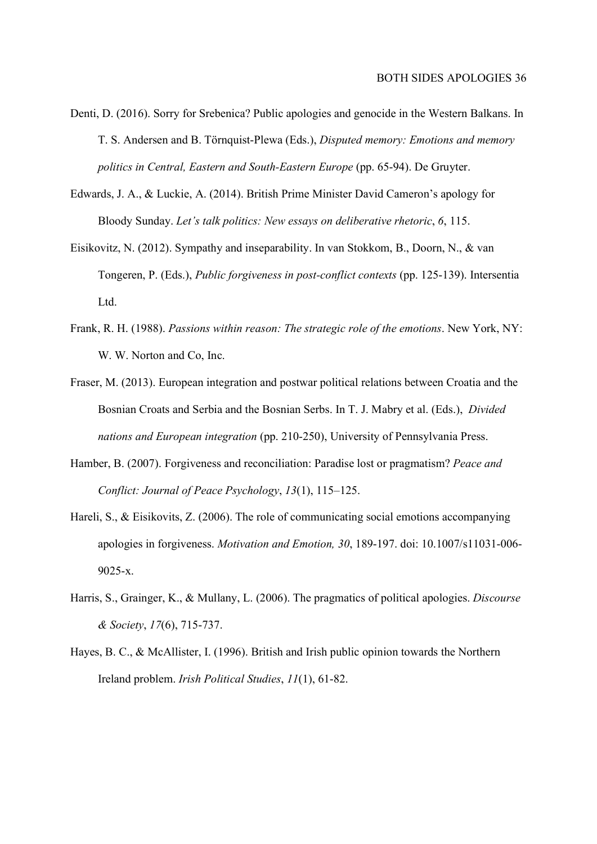- Denti, D. (2016). Sorry for Srebenica? Public apologies and genocide in the Western Balkans. In T. S. Andersen and B. Törnquist-Plewa (Eds.), Disputed memory: Emotions and memory politics in Central, Eastern and South-Eastern Europe (pp. 65-94). De Gruyter.
- Edwards, J. A., & Luckie, A. (2014). British Prime Minister David Cameron's apology for Bloody Sunday. Let's talk politics: New essays on deliberative rhetoric, 6, 115.
- Eisikovitz, N. (2012). Sympathy and inseparability. In van Stokkom, B., Doorn, N., & van Tongeren, P. (Eds.), Public forgiveness in post-conflict contexts (pp. 125-139). Intersentia Ltd.
- Frank, R. H. (1988). Passions within reason: The strategic role of the emotions. New York, NY: W. W. Norton and Co, Inc.
- Fraser, M. (2013). European integration and postwar political relations between Croatia and the Bosnian Croats and Serbia and the Bosnian Serbs. In T. J. Mabry et al. (Eds.), Divided nations and European integration (pp. 210-250), University of Pennsylvania Press.
- Hamber, B. (2007). Forgiveness and reconciliation: Paradise lost or pragmatism? Peace and Conflict: Journal of Peace Psychology, 13(1), 115–125.
- Hareli, S., & Eisikovits, Z. (2006). The role of communicating social emotions accompanying apologies in forgiveness. Motivation and Emotion, 30, 189-197. doi: 10.1007/s11031-006- 9025-x.
- Harris, S., Grainger, K., & Mullany, L. (2006). The pragmatics of political apologies. Discourse & Society, 17(6), 715-737.
- Hayes, B. C., & McAllister, I. (1996). British and Irish public opinion towards the Northern Ireland problem. Irish Political Studies, 11(1), 61-82.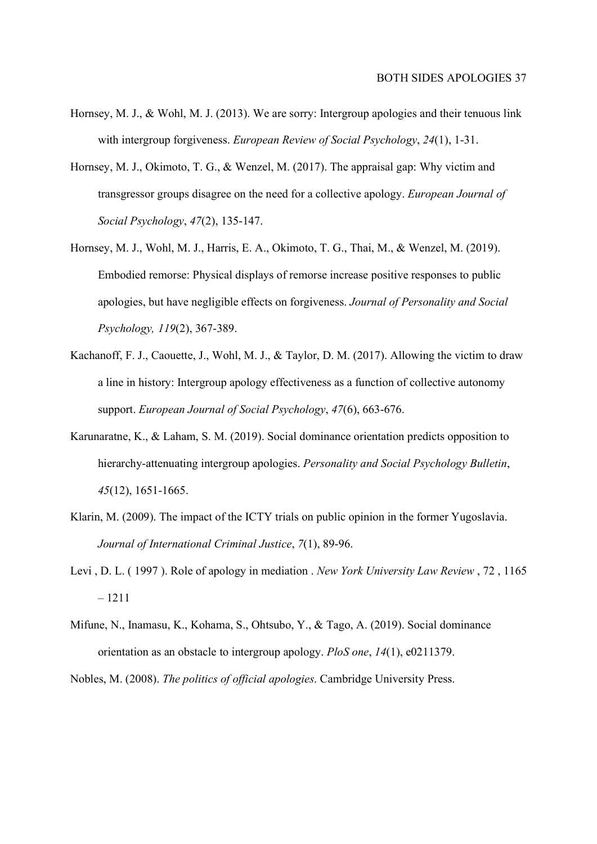- Hornsey, M. J., & Wohl, M. J. (2013). We are sorry: Intergroup apologies and their tenuous link with intergroup forgiveness. European Review of Social Psychology, 24(1), 1-31.
- Hornsey, M. J., Okimoto, T. G., & Wenzel, M. (2017). The appraisal gap: Why victim and transgressor groups disagree on the need for a collective apology. European Journal of Social Psychology, 47(2), 135-147.
- Hornsey, M. J., Wohl, M. J., Harris, E. A., Okimoto, T. G., Thai, M., & Wenzel, M. (2019). Embodied remorse: Physical displays of remorse increase positive responses to public apologies, but have negligible effects on forgiveness. Journal of Personality and Social Psychology, 119(2), 367-389.
- Kachanoff, F. J., Caouette, J., Wohl, M. J., & Taylor, D. M. (2017). Allowing the victim to draw a line in history: Intergroup apology effectiveness as a function of collective autonomy support. European Journal of Social Psychology, 47(6), 663-676.
- Karunaratne, K., & Laham, S. M. (2019). Social dominance orientation predicts opposition to hierarchy-attenuating intergroup apologies. Personality and Social Psychology Bulletin, 45(12), 1651-1665.
- Klarin, M. (2009). The impact of the ICTY trials on public opinion in the former Yugoslavia. Journal of International Criminal Justice, 7(1), 89-96.
- Levi , D. L. ( 1997 ). Role of apology in mediation . New York University Law Review , 72 , 1165 – 1211
- Mifune, N., Inamasu, K., Kohama, S., Ohtsubo, Y., & Tago, A. (2019). Social dominance orientation as an obstacle to intergroup apology. PloS one, 14(1), e0211379.

Nobles, M. (2008). The politics of official apologies. Cambridge University Press.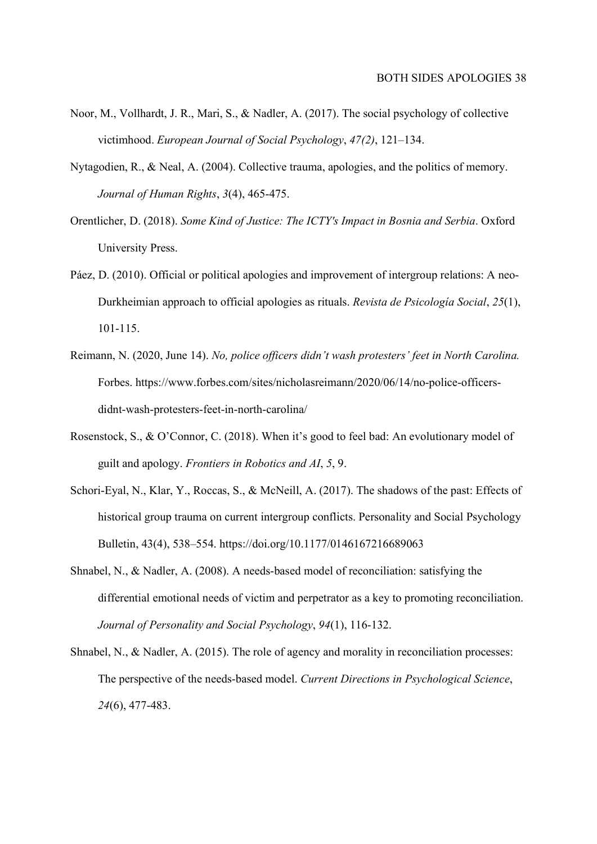- Noor, M., Vollhardt, J. R., Mari, S., & Nadler, A. (2017). The social psychology of collective victimhood. European Journal of Social Psychology, 47(2), 121–134.
- Nytagodien, R., & Neal, A. (2004). Collective trauma, apologies, and the politics of memory. Journal of Human Rights, 3(4), 465-475.
- Orentlicher, D. (2018). Some Kind of Justice: The ICTY's Impact in Bosnia and Serbia. Oxford University Press.
- Páez, D. (2010). Official or political apologies and improvement of intergroup relations: A neo-Durkheimian approach to official apologies as rituals. Revista de Psicología Social, 25(1), 101-115.
- Reimann, N. (2020, June 14). No, police officers didn't wash protesters' feet in North Carolina. Forbes. https://www.forbes.com/sites/nicholasreimann/2020/06/14/no-police-officersdidnt-wash-protesters-feet-in-north-carolina/
- Rosenstock, S., & O'Connor, C. (2018). When it's good to feel bad: An evolutionary model of guilt and apology. Frontiers in Robotics and AI, 5, 9.
- Schori-Eyal, N., Klar, Y., Roccas, S., & McNeill, A. (2017). The shadows of the past: Effects of historical group trauma on current intergroup conflicts. Personality and Social Psychology Bulletin, 43(4), 538–554. https://doi.org/10.1177/0146167216689063
- Shnabel, N., & Nadler, A. (2008). A needs-based model of reconciliation: satisfying the differential emotional needs of victim and perpetrator as a key to promoting reconciliation. Journal of Personality and Social Psychology, 94(1), 116-132.
- Shnabel, N., & Nadler, A. (2015). The role of agency and morality in reconciliation processes: The perspective of the needs-based model. Current Directions in Psychological Science, 24(6), 477-483.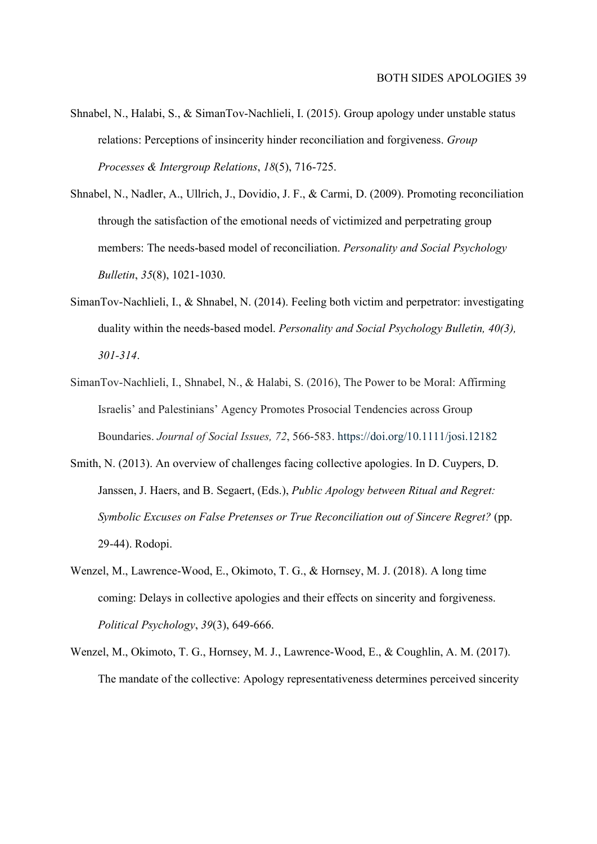- Shnabel, N., Halabi, S., & SimanTov-Nachlieli, I. (2015). Group apology under unstable status relations: Perceptions of insincerity hinder reconciliation and forgiveness. Group Processes & Intergroup Relations, 18(5), 716-725.
- Shnabel, N., Nadler, A., Ullrich, J., Dovidio, J. F., & Carmi, D. (2009). Promoting reconciliation through the satisfaction of the emotional needs of victimized and perpetrating group members: The needs-based model of reconciliation. Personality and Social Psychology Bulletin, 35(8), 1021-1030.
- SimanTov-Nachlieli, I., & Shnabel, N. (2014). Feeling both victim and perpetrator: investigating duality within the needs-based model. *Personality and Social Psychology Bulletin*, 40(3), 301-314.
- SimanTov‐Nachlieli, I., Shnabel, N., & Halabi, S. (2016), The Power to be Moral: Affirming Israelis' and Palestinians' Agency Promotes Prosocial Tendencies across Group Boundaries. Journal of Social Issues, 72, 566-583. https://doi.org/10.1111/josi.12182
- Smith, N. (2013). An overview of challenges facing collective apologies. In D. Cuypers, D. Janssen, J. Haers, and B. Segaert, (Eds.), Public Apology between Ritual and Regret: Symbolic Excuses on False Pretenses or True Reconciliation out of Sincere Regret? (pp. 29-44). Rodopi.
- Wenzel, M., Lawrence‐Wood, E., Okimoto, T. G., & Hornsey, M. J. (2018). A long time coming: Delays in collective apologies and their effects on sincerity and forgiveness. Political Psychology, 39(3), 649-666.
- Wenzel, M., Okimoto, T. G., Hornsey, M. J., Lawrence-Wood, E., & Coughlin, A. M. (2017). The mandate of the collective: Apology representativeness determines perceived sincerity